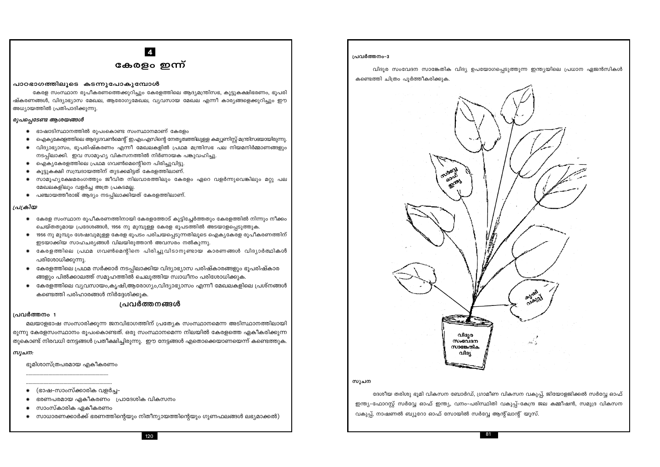# $\overline{4}$ കേരളം ഇന്ന്

#### പാഠഭാഗത്തിലൂടെ കടന്നൂപോകൂമ്പോൾ

കേരള സംസ്ഥാന രൂപീകരണത്തെക്കുറിച്ചും കേരളത്തിലെ ആദ്യമന്ത്രിസഭ, കൂട്ടുകക്ഷിഭരണം, ഭൂപരി ഷ്കരണങ്ങൾ, വിദ്യാഭ്യാസ മേഖല, ആരോഗ്യമേഖല, വ്യവസായ മേഖല എന്നീ കാര്യങ്ങളെക്കുറിച്ചും ഈ അധ്യായത്തിൽ പ്രതിപാദിക്കുന്നു.

### രൂപപ്പെടേണ്ട ആശയങ്ങൾ

പരിശോധിക്കുന്നു.

ഭൂമിശാസ്ത്രപരമായ എകീകരണം

(ഭാഷ-സാംസ്ക്കാരിക വളർച്ച–

സാംസ്കാരിക ഏകീകരണം

ഭരണപരമായ ഏകീകരണം പ്രാദേശിക വികസനം

- ഭാഷാടിസ്ഥാനത്തിൽ രൂപംകൊണ്ട സംസ്ഥാനമാണ് കേരളം
- ഐക്യകേരളത്തിലെ ആദ്യഗവൺമെന്റ് ഇ.എം.എസിന്റെ നേതൃത്ഥത്തിലുള്ള കമ്യൂണിസ്റ്റ് മന്ത്രിസഭയായിരുന്നു.
- വിദ്യാഭ്യാസം, ഭൂപരിഷ്കരണം എന്നീ മേഖലകളിൽ പ്രഥമ മന്ത്രിസഭ പല നിയമനിർമ്മാണങ്ങളും ₩ നടപ്പിലാക്കി. ഇവ സാമുഹ്യ വികസനത്തിൽ നിർണായക പങ്കുവഹിച്ചു.
- ഐക്യകേരളത്തിലെ പ്രഥമ ഗവൺമെന്റിനെ പിരിച്ചുവിട്ടു.
- കൂട്ടുകക്ഷി സമ്പ്രദായത്തിന് തുടക്കമിട്ടത് കേരളത്തിലാണ്. ₩
- സാമൂഹ്യക്ഷേമരംഗത്തും ജീവിത നിലവാരത്തിലും കേരളം ഏറെ വളർന്നുവെങ്കിലും മറ്റു പല ∗ മേഖലകളിലും വളർച്ച അത്ര പ്രകടമല്ല.
- പഞ്ചായത്തീരാജ് ആദ്യം നടപ്പിലാക്കിയത് കേരളത്തിലാണ്. ⋇

കണ്ടെത്തി പരിഹാരങ്ങൾ നിർദ്ദേശിക്കുക.

#### പ്രക്രിയ

 $\ast$ 

 $\ast$ 

പ്രവർത്തനം 1

സൂചന:

 $\ast$ 

- കേരള സംസ്ഥാന രൂപീകരണത്തിനായി കേരളത്തോട് കൂട്ടിച്ചേർത്തതും കേരളത്തിൽ നിന്നും നീക്കം ചെയ്തതുമായ പ്രദേശങ്ങൾ, 1956 നു മുമ്പുള്ള കേരള ഭൂപടത്തിൽ അടയാളപ്പെടുത്തുക.
- 1956 നു മുമ്പും ശേഷവുമുള്ള കേരള ഭൂപടം പരിചയപ്പെടുന്നതിലൂടെ ഐക്യകേരള രൂപീകരണത്തിന്
- ഇടയാക്കിയ സാഹചര്യങ്ങൾ വിലയിരുത്താൻ അവസരം നൽകുന്നു.
- 
- 
- 
- $\ast$

കേരളത്തിലെ പ്രഥമ സർക്കാർ നടപ്പിലാക്കിയ വിദ്യാഭ്യാസ പരിഷ്കാരങ്ങളും ഭൂപരിഷ്കാര

മലയാളഭാഷ സംസാരിക്കുന്ന ജനവിഭാഗത്തിന് പ്രത്യേക സംസ്ഥാനമെന്ന അടിസ്ഥാനത്തിലായി രുന്നു കേരളസംസ്ഥാനം രുപംകൊണ്ടത്. ഒരു സംസ്ഥാനമെന്ന നിലയിൽ കേരളത്തെ ഏകീകരിക്കുന്ന

കേരളത്തിലെ വ്യവസായം,കൃഷി,ആരോഗ്യം,വിദ്യാഭ്യാസം എന്നീ മേഖലകളിലെ പ്രശ്നങ്ങൾ

ങ്ങളും പിൽക്കാലത്ത് സമുഹത്തിൽ ചെലുത്തിയ സ്വാധീനം പരിശോധിക്കുക.

പ്രവർത്തനങ്ങൾ

തുകൊണ്ട് നിരവധി നേട്ടങ്ങൾ പ്രതീക്ഷിച്ചിരുന്നു. ഈ നേട്ടങ്ങൾ എതൊക്കെയാണയെന്ന് കണ്ടെത്തുക.

- 
- 
- 
- 
- 
- 
- 
- 
- 
- 
- കേരളത്തിലെ പ്രഥമ ഗവൺമെന്റിനെ പിരിച്ചുവിടാനുണ്ടായ കാരണങ്ങൾ വിദ്യാർത്ഥികൾ
- 
- 
- 
- 
- 
- 
- 

സൂചന



കണ്ടെത്തി ചിത്രം പൂർത്തീകരിക്കുക.

81

സാധാരണക്കാർക്ക് ഭരണത്തിന്റെയും നിതീന്യായത്തിന്റെയും ഗുണഫലങ്ങൾ ലഭ്യമാക്കൽ)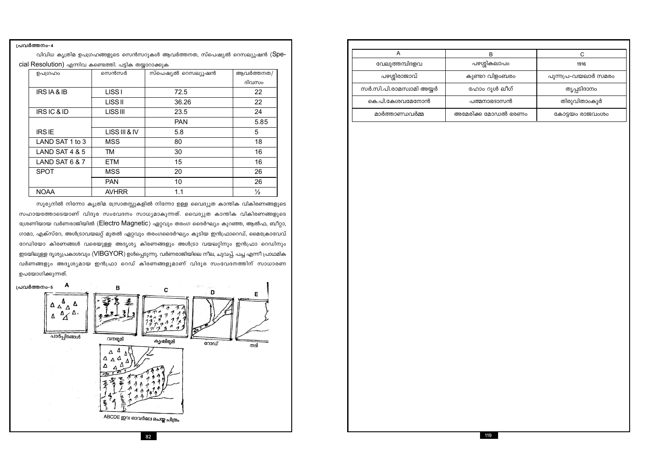പ്രവർത്തനം-4

വിവിധ കൃത്രിമ ഉപഗ്രഹങ്ങളുടെ സെൻസറുകൾ ആവർത്തനത, സ്പെഷ്യൽ റെസല്യൂഷൻ (Spe-

cial Resolution) എന്നിവ കണ്ടെത്തി. പടിക തയാറാക്കുക

| ഉപഗ്രഹം         | സെൻസർ           | സ്പെഷ്യൽ റെസല്യൂഷൻ | ആവർത്തനത/     |
|-----------------|-----------------|--------------------|---------------|
|                 |                 |                    | ദിവസം         |
| IRS IA & IB     | <b>LISSI</b>    | 72.5               | 22            |
|                 | <b>LISS II</b>  | 36.26              | 22            |
| IRSIC&ID        | <b>LISS III</b> | 23.5               | 24            |
|                 |                 | <b>PAN</b>         | 5.85          |
| <b>IRSIE</b>    | LISS III & IV   | 5.8                | 5             |
| LAND SAT 1 to 3 | <b>MSS</b>      | 80                 | 18            |
| LAND SAT 4 & 5  | <b>TM</b>       | 30                 | 16            |
| LAND SAT 6 & 7  | <b>ETM</b>      | 15                 | 16            |
| <b>SPOT</b>     | <b>MSS</b>      | 20                 | 26            |
|                 | <b>PAN</b>      | 10                 | 26            |
| <b>NOAA</b>     | <b>AVHRR</b>    | 1.1                | $\frac{1}{2}$ |

സൂര്യനിൽ നിന്നോ കൃത്രിമ സ്രോതസ്സുകളിൽ നിന്നോ ഉള്ള വൈദ്യുത കാന്തിക വികിരണങ്ങളുടെ സഹായത്തോടെയാണ് വിദൂര സംവേദനം സാധ്യമാകുന്നത്. വൈദ്യുത കാന്തിക വികിരണങ്ങളുടെ ശ്രേണിയായ വർണരാജിയിൽ (Electro Magnetic) ഏറ്റവും തരംഗ ദൈർഘ്യം കുറഞ്ഞ, ആൽഫ, ബീറ്റാ, ഗാമാ, എക്സ്റേ, അൾട്രാവയലറ്റ് മുതൽ ഏറ്റവും തരംഗദൈർഘ്യം കൂടിയ ഇൻഫ്രാറെഡ്, മൈക്രോവേവ് റേഡിയോ കിരണങ്ങൾ വരെയുള്ള അദൃശ്യ കിരണങ്ങളും അൾട്രാ വയലറ്റിനും ഇൻഫ്രാ റെഡിനും ഇടയിലുള്ള ദൃശ്യപ്രകാശവും (VIBGYOR) ഉൾപ്പെടുന്നു. വർണരാജിയിലെ നീല, ചുവപ്പ്, പച്ച എന്നീ പ്രാഥമിക വർണങ്ങളും അദൃശ്യമായ ഇൻഫ്രാ റെഡ് കിരണങ്ങളുമാണ് വിദൂര സംവേദനത്തിന് സാധാരണ ഉപയോഗിക്കുന്നത്.



82

|                          | R                  |                     |
|--------------------------|--------------------|---------------------|
| വേലുത്തമ്പിദളവ           | പഴശ്ശികലാപം        | 1916                |
| പഴശ്ശിരാജാവ്             | കുണ്ടറ വിളംബരം     | പുന്നപ്ര-വയലാർ സമരം |
| സർ.സി.പി.രാമസ്വാമി അയ്യർ | ഹോം റൂൾ ലീഗ്       | തൃപ്പടിദാനം         |
| കെ.പി.കേശവമേനോൻ          | പത്മനാഭദാസൻ        | തിരുവിതാംകൂർ        |
| മാർത്താണ്ഡവർമ്മ          | അമേരിക്ക മോഡൽ ഭരണം | കോട്ടയം രാജവംശം     |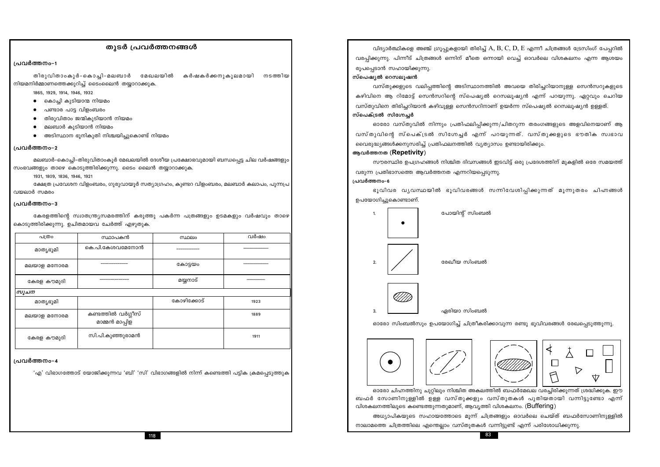### തുടർ പ്രവർത്തനങ്ങൾ

#### പ്രവർത്തനം-1

തിരുവിതാംകൂർ-കൊച്ചി-മലബാർ മേഖലയിൽ കർഷകർക്കനുകൂലമായി നടത്തിയ നിയമനിർമ്മാണത്തെക്കുറിച്ച് ടൈംലൈൻ തയ്യാറാക്കുക.

1865, 1929, 1914, 1946, 1932

- കൊച്ചി കൂടിയാന്മ നിയമം
- പണ്ടാര പാട്ട വിളംബരം
- തിരുവിതാം ജന്മികുടിയാൻ നിയമം
- മലബാർ കുടിയാൻ നിയമം  $\bullet$
- അടിസ്ഥാന ഭൂനികുതി നിശ്ചയിച്ചുകൊണ്ട് നിയമം  $\bullet$

#### പ്രവർത്തനം-2

മലബാർ-കൊച്ചി-തിരുവിതാംകൂർ മേഖലയിൽ ദേശീയ പ്രക്ഷോഭവുമായി ബന്ധപ്പെട്ട ചില വർഷങ്ങളും സംഭവങ്ങളും താഴെ കൊടുത്തിരിക്കുന്നു. ടൈം ലൈൻ തയ്യാറാക്കുക.

1931, 1809, 1836, 1946, 1921

ക്ഷേത്ര പ്രവേശന വിളംബരം, ഗുരുവായൂർ സത്യാഗ്രഹം, കുണ്ടറ വിളംബരം, മലബാർ കലാപം, പുന്നപ്ര വയലാർ സമരം

#### ്പവർത്തനം-3

കേരളത്തിന്റെ സ്വാതന്ത്ര്യസമരത്തിന് കരുത്തു പകർന്ന പത്രങ്ങളും ഉടമകളും വർഷവും താഴെ കൊടുത്തിരിക്കുന്നു. ഉചിതമായവ ചേർത്ത് എഴുതുക.

| പത്രം       | സ്ഥാപകൻ                              | സ്ഥലം      | വർഷം |
|-------------|--------------------------------------|------------|------|
| മാത്യഭൂമി   | കെ.പി.കേശവമേനോൻ                      |            |      |
| മലയാള മനോരമ |                                      | കോട്ടയം    |      |
| കേരള കൗമുദി |                                      | മയ്യനാട്   |      |
| സൂചന        |                                      |            |      |
| മാത്യഭൂമി   |                                      | കോഴിക്കോട് | 1923 |
| മലയാള മനോരമ | കണ്ടത്തിൽ വർഗ്ഗീസ്<br>മാമ്മൻ മാപ്പിള |            | 1889 |
| കേരള കൗമുദി | സി.പി.കുഞ്ഞുരാമൻ                     |            | 1911 |

#### പ്രവർത്തനം-4

'എ' വിഭാഗത്തോട് യോജിക്കുന്നവ 'ബി' 'സി' വിഭാഗങ്ങളിൽ നിന്ന് കണ്ടെത്തി പട്ടിക ക്രമപ്പെടുത്തുക

വിദ്യാർത്ഥികളെ അഞ്ച് ഗ്രൂപ്പുകളായി തിരിച്ച്  $A, B, C, D, E$  എന്നീ ചിത്രങ്ങൾ ട്രേസിംഗ് പേപ്പറിൽ വരപ്പിക്കുന്നു. പിന്നീട് ചിത്രങ്ങൾ ഒന്നിന് മീതെ ഒന്നായി വെച്ച് ഓവർലെ വിശകലനം എന്ന ആശയം രൂപപ്പെടാൻ സഹായിക്കുന്നു.

#### സ്പെഷ്യൽ റെസലൂഷൻ

വസ്തുക്കളുടെ വലിപ്പത്തിന്റെ അടിസ്ഥാനത്തിൽ അവയെ തിരിച്ചറിയാനുള്ള സെൻസറുകളുടെ കഴിവിനെ ആ റിമോട്ട് സെൻസറിന്റെ സ്പെഷ്യൽ റെസലുഷ്യൻ എന്ന് പറയുന്നു. ഏറ്റവും ചെറിയ വസ്തുവിനെ തിരിച്ചറിയാൻ കഴിവുള്ള സെൻസറിനാണ് ഉയർന്ന സ്പെഷ്യൽ റെസലൂഷ്യൻ ഉള്ളത്. സ്പെക്ട്രൽ സിഗ്നേച്ചർ

ഓരോ വസ്തുവിൽ നിന്നും പ്രതിഫലിപ്പിക്കുന്ന/ചിതറുന്ന തരംഗങ്ങളുടെ അളവിനെയാണ് ആ വസ്തുവിന്റെ സ്പെക്ട്രൽ സിഗ്നേച്ചർ എന്ന് പറയുന്നത്. വസ്തുക്കളുടെ ഭൗതിക സ്വഭാവ വൈരുദ്ധ്യങ്ങൾക്കനുസരിച്ച് പ്രതിഫലനത്തിൽ വ്യത്യാസം ഉണ്ടായിരിക്കും. ആവർത്തനത (Repetivity)

സൗരസ്ഥിര ഉപഗ്രഹങ്ങൾ നിശ്ചിത ദിവസങ്ങൾ ഇടവിട്ട് ഒരു പ്രദേശത്തിന് മുകളിൽ ഒരേ സമയത്ത് വരുന്ന പ്രതിഭാസത്തെ ആവർത്തനത എന്നറിയപ്പെടുന്നു. പ്രവർത്തനം-6

ഭൂവിവര വൃവസ്ഥയിൽ ഭൂവിവരങ്ങൾ സന്നിവേശിപ്പിക്കുന്നത് മൂന്നുതരം ചിഹ്നങ്ങൾ ഉപയോഗിച്ചുകൊണ്ടാണ്.



ഓരോ സിംബൽസും ഉപയോഗിച്ച് ചിത്രീകരിക്കാവുന്ന രണ്ടു ഭൂവിവരങ്ങൾ രേഖപ്പെടുത്തുന്നു.



നാലാമത്തെ ചിത്രത്തിലെ എന്തെല്ലാം വസ്തുതകൾ വന്നിട്ടുണ്ട് എന്ന് പരിശോധിക്കുന്നു.

118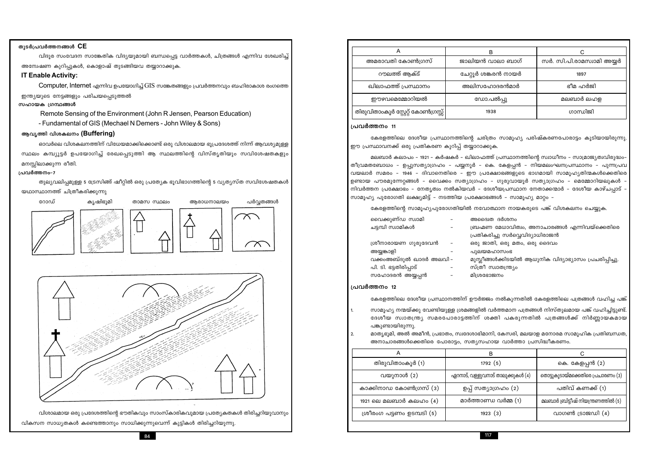### തുടർപ്രവർത്തനങ്ങൾ  $CE$

വിദൂര സംവേദന സാങ്കേതിക വിദ്യയുമായി ബന്ധപ്പെട്ട വാർത്തകൾ, ചിത്രങ്ങൾ എന്നിവ ശേഖരിച്ച് അന്വേഷണ കുറിപ്പുകൾ, കൊളാഷ് തുടങ്ങിയവ തയ്യാറാക്കുക.

#### **IT Enable Activity:**

Computer, Internet എന്നിവ ഉപയോഗിച്ച് GIS സങ്കേതങ്ങളും പ്രവർത്തനവും ബഹിരാകാശ രംഗത്തെ ഇന്ത്യയുടെ നേട്ടങ്ങളും പരിചയപ്പെടുത്തൽ

#### സഹായക ഗ്രന്ഥങ്ങൾ

Remote Sensing of the Environment (John R Jensen, Pearson Education)

- Fundamental of GIS (Mechael N Demers - John Wiley & Sons)

### ആവൃത്തി വിശകലനം (Buffering)

ഓവർലെ വിശകലനത്തിന് വിധേയമാക്കിക്കൊണ്ട് ഒരു വിശാലമായ ഭൂപ്രദേശത്ത് നിന്ന് ആവശ്യമുള്ള സ്ഥലം കമ്പ്യൂട്ടർ ഉപയോഗിച്ച് രേഖപ്പെടുത്തി ആ സ്ഥലത്തിന്റെ വിസ്തൃതിയും സവിശേഷതകളും മനസ്സിലാക്കുന്ന രീതി.

#### പ്രവർത്തനം-7

തുല്യവലിപ്പമുള്ള 5 ട്രേസിങ്ങ് ഷീറ്റിൽ ഒരു പ്രത്യേക ഭൂവിഭാഗത്തിന്റെ 5 വ്യത്യസ്ത സവിശേഷതകൾ യഥാസ്ഥാനത്ത് ചിത്രീകരിക്കുന്നു



വിശാലമായ ഒരു പ്രദേശത്തിന്റെ ഭൗതികവും സാംസ്കാരികവുമായ പ്രത്യേകതകൾ തിരിച്ചറിയുവാനും വികസന സാധ്യതകൾ കണ്ടെത്താനും സാധിക്കുന്നുവെന്ന് കുട്ടികൾ തിരിച്ചറിയുന്നു.

| അമരാവതി കോൺഗ്രസ്                   | ജാലിയൻ വാലാ ബാഗ്    | സർ. സി.പി.രാമസ്വാമി അയ്യർ |
|------------------------------------|---------------------|---------------------------|
| റൗലത്ത് ആക്ട്                      | ചേറ്റൂർ ശങ്കരൻ നായർ | 1897                      |
| ഖിലാഫത്ത് പ്രസ്ഥാനം                | അലിസഹോദരൻമാർ        | ഭീമ ഹർജി                  |
| ഈഴവമെമ്മോറിയൽ                      | ഡോ.പൽപ്പു           | മലബാർ ലഹള                 |
| തിരുവിതാംകൂർ സ്റ്റേറ്റ് കോൺഗ്രസ്സ് | 1938                | ഗാന്ധിജി                  |

#### പ്രവർത്തനം 11

കേരളത്തിലെ ദേശീയ പ്രസ്ഥാനത്തിന്റെ ചരിത്രം സാമൂഹ്യ പരിഷ്കരണപോരാട്ടം കൂടിയായിരുന്നു. ഈ പ്രസ്ഥാവനക്ക് ഒരു പ്രതികരണ കുറിപ്പ് തയ്യാറാക്കുക. മലബാർ കലാപം - 1921 - കർഷകർ - ഖിലാഫത്ത് പ്രസ്ഥാനത്തിന്റെ സ്വാധീനം - സാമ്രാജ്യത്വവിരുദ്ധം-തീവ്രമതബോധം – ഉപ്പുസത്യാഗ്രഹം – പയ്യനൂർ – കെ. കേളപ്പൻ – നിയമലംഘനപ്രസ്ഥാനം – പുന്നപ്രവ വയലാർ സമരം - 1946 - ദിവാനെതിരെ - ഈ പ്രക്ഷോഭങ്ങളുടെ ഭാഗമായി സാമൂഹ്യതിന്മകൾക്കെതിരെ ഉണ്ടായ പൗരമുന്നേറ്റങ്ങൾ - വൈക്കം സത്യാഗ്രഹം - ഗുരുവായൂർ സത്യാഗ്രഹം - മെമ്മോറിയലുകൾ നിവർത്തന പ്രക്ഷോഭം – നേതൃത്വം നൽകിയവർ – ദേശീയപ്രസ്ഥാന നേതാക്കന്മാർ – ദേശീയ കാഴ്ചപ്പാട് -സാമൂഹ്യ പുരോഗതി ലക്ഷ്യമിട്ട് – നടത്തിയ പ്രക്ഷോഭങ്ങൾ – സാമൂഹ്യ മാറ്റം – കേരളത്തിന്റെ സാമൂഹ്യപുരോഗതിയിൽ നവോത്ഥാന നായകരുടെ പങ്ക് വിശകലനം ചെയ്യുക. ദർശനം :മധാവിത്വം, അനാചാരങ്ങൾ എന്നിവയ്ക്കെതിര<mark>െ</mark> <mark>ച്ചു സർവ്വെവിദ്യാധിരാജൻ</mark> ഒരു മതം, ഒരു ദൈവം ാസംഭ .<br>}ക്കിടയിൽ ആധുനിക വിദ്യാഭ്യാസം പ്രചരിപ്പിച്ചു ശുത്ര്യര

| വൈക്കുണ്ഡ സ്വാമി        | അദ്വൈത      |
|-------------------------|-------------|
| ചട്ടമ്പി സ്വാമികൾ       | ബ്രഹ്മണ ര   |
|                         | പ്രതികരിച്ച |
| ശ്രീനാരായണ ഗുരുദേവൻ     | ഒരു ജാതി.   |
| അയുങ്കാളി               | പുലയമഹ      |
| വക്കംഅബ്ദുൽ ഖാദർ അലവി – | മുസ്ലീങ്ങൾ  |
| പി. ടി. ഭട്ടതിരിപ്പാട്  | സ്ത്രീ സ്വ  |
| സഹോദരൻ അയ്യപ്പൻ         | മിശ്രഭോജ    |

#### പ്രവർത്തനം 12

കേരളത്തിലെ ദേശീയ പ്രസ്ഥാനത്തിന് ഊർജ്ജം നൽകുന്നതിൽ കേരളത്തിലെ പത്രങ്ങൾ വഹിച്ച പങ്ക് സാമൂഹ്യ നന്മയ്ക്കു വേണ്ടിയുള്ള ശ്രമങ്ങളിൽ വർത്തമാന പത്രങ്ങൾ നിസ്തുലമായ പങ്ക് വഹിച്ചിട്ടുണ്ട്.

- $\mathbf{1}$ ദേശീയ സ്വാതന്ത്ര്യ സമരപോരാട്ടത്തിന് ശക്തി പകരുന്നതിൽ പത്രങ്ങൾക്ക് നിർണ്ണായകമായ പങ്കുണ്ടായിരുന്നു.
- മാതൃഭൂമി, അൽ അമീൻ, പ്രഭാതം, സ്വദേശാഭിമാനി, കേസരി, മലയാള മനോരമ സാമൂഹിക പ്രതിബന്ധത,  $2.$ അനാചാരങ്ങൾക്കെതിരെ പോരാട്ടം, സതൃസഹായ വാർത്താ പ്രസിദ്ധീകരണം.

|                            | В                                 |                                     |
|----------------------------|-----------------------------------|-------------------------------------|
| തിരുവിതാംകൂർ (1)           | 1792(5)                           | കെ. കേളപ്പൻ (2)                     |
| വയുനാൾ (2)                 | ഏറനാട്, വള്ളുവനാട് താലുക്കുകൾ (4) | തൊട്ടുകൂടായ്മക്കെതിരെ പ്രചാരണം (3)  |
| കാക്കിനാഡ കോൺഗ്രസ് (3)     | ഉപ്പ് സത്യാഗ്രഹം (2)              | പതിവ് കണക്ക് (1)                    |
| 1921 ലെ മലബാർ കലഹം $(4)$   | മാർത്താണ്ഡ വർമ്മ (1)              | മലബാർ ബ്രിട്ടീഷ് നിയന്ത്രണത്തിൽ (5) |
| ശ്രീരംഗ പട്ടണം ഉടമ്പടി (5) | 1923(3)                           | വാഗൺ ട്രാജഡി $(4)$                  |

നം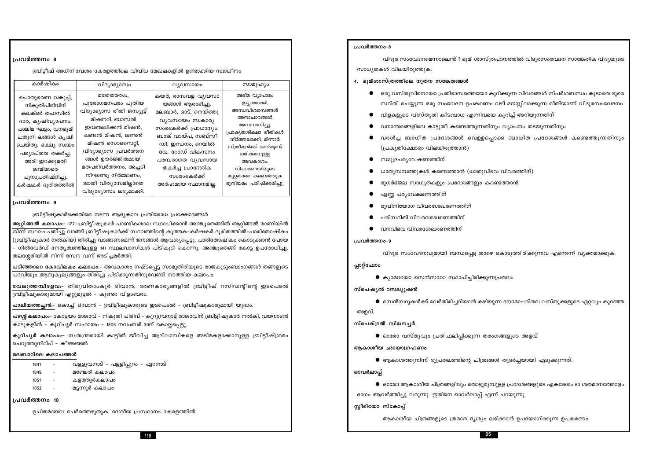സ്റ്റീരിയോ സ്കോപ്പ്

ഭാഗം ആവർത്തിച്ചു വരുന്നു. ഇതിനെ ഓവർലാപ്പ് എന്ന് പറയുന്നു.

ഓവർലാപ്പ്

 $\bullet$  ആകാശത്തുനിന്ന് ഭൂപ്രതലത്തിന്റെ ചിത്രങ്ങൾ തുടർച്ചയായി എടുക്കുന്നത്.

ആകാശീയ ഛായാഗ്രഹണം

 $\bullet$  ഓരോ വസ്തുവും പ്രതിഫലിപ്പിക്കുന്ന തരംഗങ്ങളുടെ അളവ്

സ്പെക്ട്രൽ സിഗ്നേച്ചർ.

അളവ്.

സ്പെഷ്യൽ റസല്യൂഷൻ

 $\bullet$  കൃാമറയോ സെൻസറോ സ്ഥാപിച്ചിരിക്കുന്നപ്രതലം

പ്ലാറ്റ്ഫോം

പ്രവർത്തനം-9

പ്രവർത്തനം-8

സാധ്യതകൾ വിലയിരുത്തുക.

4. ഭൂമിശാസ്ത്രത്തിലെ നുതന സങ്കേതങ്ങൾ

- വനവിഭവ വിവരശേഖരണത്തിന്
- പരിസ്ഥിതി വിവരശേഖരണത്തിന്
- ഭൂവിനിയോഗ വിവരശേഖരണത്തിന്
- എണ്ണ പര്യവേക്ഷണത്തിന്
- 
- ഭൂഗർഭജല സാധ്യതകളും പ്രദേശങ്ങളും കണ്ടെത്താൻ
- 
- ധാതുസമ്പത്തുകൾ കണ്ടെത്താൻ (ധാതുവിഭവ വിവരത്തിന്)
- സമുദ്രപര്യവേഷണത്തിന്
- 
- 
- 
- 
- 
- 

- വനാന്തരങ്ങളിലെ കാട്ടുതീ കണ്ടെത്തുന്നതിനും വ്യാപനം തടയുന്നതിനും
- 

# (പ്രകൃതിക്ഷോഭം വിലയിരുത്താൻ)

| കാർഷികം                                                                                                                                                                                                                                  | വിദ്യാഭ്യാസം                                                                                                                                                                                                                                                                            | വ്യവസായം                                                                                                                                                                                                                                                  | സാമൂഹ്യം                                                                                                                                                                                                                                               |
|------------------------------------------------------------------------------------------------------------------------------------------------------------------------------------------------------------------------------------------|-----------------------------------------------------------------------------------------------------------------------------------------------------------------------------------------------------------------------------------------------------------------------------------------|-----------------------------------------------------------------------------------------------------------------------------------------------------------------------------------------------------------------------------------------------------------|--------------------------------------------------------------------------------------------------------------------------------------------------------------------------------------------------------------------------------------------------------|
| പൊതുഭരണ വകുപ്പ്,<br>നികുതിപിരിവിന്<br>കലക്ടർ തഹസിൽ<br>ദാർ, കൃഷിവ്യാപനം,<br>പശ്ചിമ ഘട്ടം, വനഭൂമി<br>ചതുനി ലങ്ങൾ കൃഷി<br>ചെയ്തു. ഭക്ഷ്യ സ്വയം<br>പര്യാപ്തത തകർച്ച,<br>അരി ഇറക്കുമതി<br>ജന്മിമാരെ<br>പുന:പ്രതിഷ്ഠിച്ചു.<br>കർഷകർ ദുരിതത്തിൽ | മതേതരത്വം,<br>പുരോഗമനപരം പുതിയ<br>വിദ്യാഭ്യാസ രീതി ജസ്യൂട്ട്<br>മിഷനറി, ബാസൽ<br>ഇവഞ്ചലിക്കൻ മിഷൻ,<br>ലണ്ടൻ മിഷൻ, ലണ്ടൻ<br>മിഷൻ സൊസൈറ്റി,<br>വിദ്യാഭ്യാസ പ്രവർത്തന<br>ങ്ങൾ ഊർജ്ജിതമായി<br>മതപരിവർത്തനം, അച്ചടി<br>നിഘണ്ടു നിർമ്മാണം,<br>ജാതി വിത്യാസമില്ലാതെ<br>വിദ്യാഭ്യാസം ലഭ്യമാക്കി. | കയർ, രാസവള വ്യവസാ<br>യങ്ങൾ ആരംഭിച്ചു.<br>മലബാർ, ഓട്, നെയ്ത്തു<br>വ്യവസായം സ്വകാര്യ<br>സംരഭകർക്ക് പ്രാധാന്യം,<br>ബാങ്ക് വായ്പ, സബ്സീ<br>ഡി, ഇന്ധനം, റെയിൽ<br>വേ, റോഡ് വികസനം<br>പരമ്പരാഗത വ്യവസായ<br>തകർച്ച പ്രാദേശിക<br>സംരംഭകർക്ക്<br>അർഹമായ സ്ഥാനമില്ല. | അടിമ വ്യാപാരം<br>ഇല്ലാതാക്കി.<br>അന്ധവിശ്വാസങ്ങൾ<br>അനാചാരങ്ങൾ<br>അവസാനിച്ചു.<br>പ്രാകൃതശിക്ഷാ രീതികൾ<br>നിർത്തലാക്കി, മിന്നാർ<br>സ്ത്രീകൾക്ക് മേൽമുണ്ട്<br>ധരിക്കാനുള്ള<br>അവകാശം.<br>വിചാരണയിലൂടെ<br>കുറ്റകാരെ കണ്ടെത്തുക<br>ഭൂനിയമം പരിഷ്ക്കരിച്ചു. |

ബ്രിട്ടീഷ് അധിനിവേശം കേരളത്തിലെ വിവിധ മേഖലകളിൽ ഉണ്ടാക്കിയ സ്വാധീനം

### പ്രവർത്തനം 9

പ്രവർത്തനം 8

ബ്രിട്ടീഷുകാർക്കെതിരെ നടന്ന ആദ്യകാല പ്രതിരോധ പ്രക്ഷോഭങ്ങൾ

ആറ്റി<mark>ങ്ങൽ കലാപ</mark>ം:– 1721-ബ്രിട്ടീഷുകാർ പാണ്ടികശാല സ്ഥാപിക്കാൻ അഞ്ചുതെങ്ങിൽ ആറ്റിങ്ങൽ മാണിയിൽ നിന്ന് സ്ഥലം പതിച്ചു വാങ്ങി ബ്രിട്ടീഷുകാർക്ക് സ്ഥലത്തിന്റെ കുത്തക–കർഷകർ ദുരിതത്തിൽ–പാരിതോഷികം (ബ്രിട്ടീഷുകാർ നൽകിയ) തിരിച്ചു വാങ്ങണമെന്ന് ജനങ്ങൾ ആവശ്യപെട്ടു. പാരിതോഷികം കൊടുക്കാൻ പോയ – ഗിൽവേർഡ് നേതൃത്വത്തിലുള്ള 141 സ്ഥലവാസികൾ പിടികൂടി കൊന്നു. അഞ്ചുതെങ്ങ് കോട്ട ഉപരോധിച്ചു<mark>.</mark> തലശ്ശേരിയിൽ നിന്ന് സേന വന്ന് അടിച്ചമർത്തി.

<mark>പടിഞ്ഞാറെ കോവിലകം കലാപ</mark>ം:– അവകാശം നഷ്ടപ്പെട്ട സാമൂതിരിയുടെ രാജകുടുംബാംഗങ്ങൾ തങ്ങളുടെ പദവിയും ആനുകൂല്യങ്ങളും തിരിച്ചു പിടിക്കുന്നതിനുവേണ്ടി നടത്തിയ കലാപം.

വേലുത്തമ്പിദളവ:- തിരുവിതാംകൂർ ദിവാൻ, ഭരണകാര്യങ്ങളിൽ ബ്രിട്ടീഷ് റസിഡന്റിന്റെ ഇടപെടൽ ബ്രിട്ടീഷുകാരുമായി ഏറ്റുമുട്ടൽ – കുണ്ടറ വിളംബരം.

പാലിയത്തച്ഛൻ:– കൊച്ചി ദിവാൻ – ബ്രിട്ടീഷുകാരുടെ ഇടപെടൽ – ബ്രിട്ടീഷുകാരുമായി യുദ്ധം.

പഴശ്ശികലാപം:– കോട്ടയം രാജാവ് – നികുതി പിരിവ് – കുറുമ്പ്രനാട്ട് രാജാവിന് ബ്രിട്ടീഷുകാർ നൽകി, വയനാടൻ കാടുകളിൽ – കുറിച്യർ സഹായം – 1805 നവംബർ 30ന് കൊല്ലപ്പെട്ടു.

കുറിച്യർ കലാപം:- സ്വതന്ത്രരായി കാട്ടിൽ ജീവിച്ച ആദിവാസികളെ അടിമകളാക്കാനുള്ള ബ്രിട്ടീഷ്ശ്രമം ചെറുത്തുനില്പ് – കീഴടങ്ങൽ

# മലബാറിലെ കലാപങ്ങൾ

| 1841 | - | വള്ളുവനാട് – പള്ളിപ്പുറം – ഏറനാട് |
|------|---|-----------------------------------|
| 1849 | - | മഞ്ചേരി കലാപം                     |

- കളത്തുർകലാപം 1851
- 
- മട്ടന്നൂർ കലാപം 1852

# പ്രവർത്തനം 10

ഉചിതമായവ ചേർത്തെഴുതുക. ദേശീയ പ്രസ്ഥാനം കേരളത്തിൽ

```
വിദുര സംവേദനമെന്നാലെന്ത് ? ഭുമി ശാസ്ത്രപഠനത്തിൽ വിദുരസംവേദന സാങ്കേതിക വിദ്യയുടെ
● ഒരു വസ്തുവിനെയോ പ്രതിഭാസത്തെയോ കുറിക്കുന്ന വിവരങ്ങൾ സ്പർശബന്ധം കുടാതെ ദുരെ
   സ്ഥിതി ചെയ്യുന്ന ഒരു സംവേദന ഉപകരണം വഴി മനസ്സിലാക്കുന്ന രീതിയാണ് വിദൂരസംവേദനം.
  വിളകളുടെ വിസ്തൃതി കീടബാധ എന്നിവയെ കുറിച്ച് അറിയുന്നതിന്
  വരൾച്ച ബാധിത പ്രദേശങ്ങൾ വെള്ളപ്പൊക്ക ബാധിത പ്രദേശങ്ങൾ കണ്ടെത്തുന്നതിനും
    വിദൂര സംവേദനവുമായി ബന്ധപ്പെട്ട താഴെ കൊടുത്തിരിക്കുന്നവ എന്തെന്ന് വ്യക്തമാക്കുക.
  \bullet സെൻസറുകൾക്ക് വേർതിരിച്ചറിയാൻ കഴിയുന്ന ഭൗമോപരിതല വസ്തുക്കളുടെ ഏറ്റവും കുറഞ്ഞ
  \bullet ഓരോ ആകാശീയ ചിത്രങ്ങളിലും തൊട്ടുമുമ്പുള്ള പ്രദേശങ്ങളുടെ ഏകദേശം 60 ശതമാനത്തോളം
```
ആകാശീയ ചിത്രങ്ങളുടെ ത്രമാന ദൃശ്യം ലഭിക്കാൻ ഉപയോഗിക്കുന്ന ഉപകരണം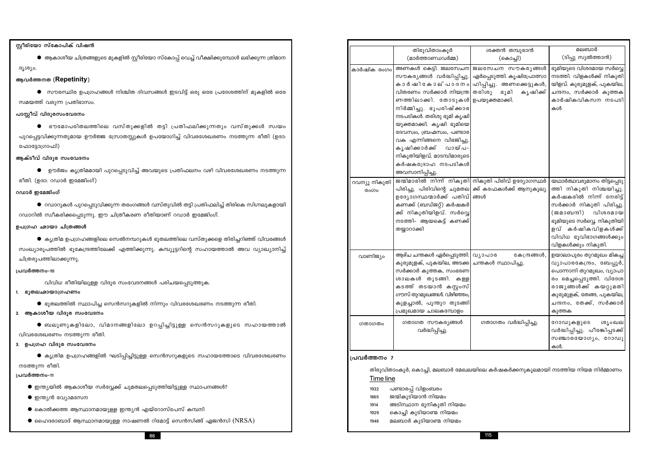- $\bullet$  ഹൈദരാബാദ് ആസ്ഥാനമായുള്ള നാഷണൽ റിമോട്ട് സെൻസിങ്ങ് ഏജൻസി  $(NRSA)$
- $\bullet$  കൊൽക്കത്ത ആസ്ഥാനമായുള്ള ഇന്ത്യൻ എയ്റോസ്പേസ് കമ്പനി
- $\bullet$  ഇന്ത്യൻ വ്യോമസേന
- $\bullet$  ഇന്ത്യയിൽ ആകാശീയ സർവ്വേക്ക് ചുമതലപ്പെടുത്തിയിട്ടുള്ള സ്ഥാപനങ്ങൾ?

### പ്രവർത്തനം-11

# നടത്തുന്ന രീതി.

 $\bullet$  ക്യ്യതിമ ഉപഗ്രഹങ്ങളിൽ ഘടിപിച്ചിട്ടുള്ള സെൻസറുകളുടെ സഹായത്തോടെ വിവരശേഖരണം

# 3. ഉപഗ്രഹ വിദ്വര സംവേദനം

- 
- 
- 
- 
- 
- 

- 
- 
- 
- 

- 
- 
- 
- 
- 
- 
- 
- 
- 
- 
- വിവരശേഖരണം നടത്തുന്ന രീതി.
- 
- 
- $\bullet$  ബലൂണുകളിലോ, വിമാനങ്ങളിലോ ഉറപ്പിച്ചിട്ടുള്ള സെൻസറുകളുടെ സഹായത്താൽ
- 2. ആകാശീയ വിദൂര സംവേദനം
	-
	-
- 
- $\bullet$  ഭൂതലത്തിൽ സ്ഥാപിച്ച സെൻസറുകളിൽ നിന്നും വിവരശേഖരണം നടത്തുന്ന രീതി.
	-
- 
- വിവിധ രീതിയിലുള്ള വിദുര സംവേദനങ്ങൾ പരിചയപ്പെടുത്തുക. 1. ഭൂതലഛായാഗ്രഹണം

| ഉപഗ്രഹ ഛായാ ചിത്രങ്ങൾ                                                                          |  |
|------------------------------------------------------------------------------------------------|--|
| $\bullet$ കൃത്രിമ ഉപഗ്രഹങ്ങളിലെ സെൽനമ്പറുകൾ ഭൂതലത്തിലെ വസ്തുക്കളെ തിരിച്ചറിഞ്ഞ് വിവരങ്ങൾ       |  |
| സംഖ്യാരൂപത്തിൽ ഭൂകേന്ദ്രത്തിലേക്ക് എത്തിക്കുന്നു. കമ്പ്യൂട്ടറിന്റെ സഹായത്താൽ അവ വ്യാഖ്യാനിച്ച് |  |

 $\bullet$  ഭൗമോപരിതലത്തിലെ വസ്തുക്കളിൽ തട്ടി പ്രതിഫലിക്കുന്നതും വസ്തുക്കൾ സ്വയം പുറപ്പെട്ടവിക്കുന്നതുമായ ഊർജ്ജ സ്രോതസ്സുകൾ ഉപയോഗിച്ച് വിവരശേഖരണം നടത്തുന്ന രീതി (ഉദാ: ഫോട്ടോഗ്രാഫി)

 $\bullet$  ആകാശീയ ചിത്രങ്ങളുടെ മുകളിൽ സ്റ്റീരിയോ സ്കോപ്പ് വെച്ച് വീക്ഷിക്കുമ്പോൾ ലഭിക്കുന്ന ത്രിമാന

 $\bullet$  സൗരസ്ഥിര ഉപഗ്രഹങ്ങൾ നിശ്ചിത ദിവസങ്ങൾ ഇടവിട്ട് ഒരു ഒരേ പ്രദേശത്തിന് മുകളിൽ ഒരേ

- 
- 
- 

റഡാറിൽ സ്ഥീകരിക്കപ്പെടുന്നു. ഈ ചിത്രീകരണ രീതിയാണ് റഡാർ ഇമേജിംഗ്.

- ആക്ടീവ് വിദുര സംവേദനം
	- $\bullet$  ഉൗർജം കൃത്രിമമായി പുറപ്പെടുവിച്ച് അവയുടെ പ്രതിഫലനം വഴി വിവരശേഖരണം നടത്തുന്ന
- 
- രീതി. (ഉദാ: റഡാർ ഇമേജിംഗ്)

ചിത്രരൂപത്തിലാക്കുന്നു.

്പവർത്തനം-10

സ്റ്റീരിയോ സ്കോപിക് വിഷൻ

ആവർത്തനത (Repetinity)

സമയത്ത് വരുന്ന പ്രതിഭാസം.

പാസ്സീവ് വിദൂരസംവേദനം

ദൃശ്യം.

# റഡാർ ഇമേജിംഗ്

- 
- 
- $\bullet$  റഡാറുകൾ പുറപ്പെടുവിക്കുന്ന തരംഗങ്ങൾ വസ്തുവിൽ തട്ടി പ്രതിഫലിച്ച് തിരികെ സിഗ്നലുകളായി
- 
- 
- 
- 
- 
- 
- 
- 
- 
- 

### കർഷകദ്രോഹ നടപടികൾ അവസാനിപ്പിച്ചു. ജന്മിമാരിൽ നിന്ന് നികുതി നികുതി പ റവന്യൂ നികുതി പിരിച്ചു. പിരിവിന്റെ ചുമതല ൫൦൝ ഉദ്യോഗസ്ഥന്മാർക്ക് പതിവ് കണക്ക് (ബഡ്ജറ്റ്) കർഷകർ ക്ക് നികുതിയിളവ്. സർവ്വെ നടത്തി– ആയകെട്ട് കണക്ക് തയ്യാറാക്കി ആഴ്ച ചന്തകൾ ഏർപ്പെടുത്തി.| വ്യാപാര വാണിജ്യം കുരുമുളക്, പുകയില, അടക്ക സർക്കാർ കൂത്തക, സംഭരണ ശാലകൾ തുടങ്ങി. കള്ള കടത്ത് തടയാൻ കസ്റ്റംസ് ഗൗസ് തുറമുഖങ്ങൾ. വിഴിഞ്ഞം കുളച്ചാൽ, പുന്തുറ തുടങ്ങി പ്രമുഖമായ ചാലകമ്പോളം

കാർഷിക രംഗം

- ഗതാഗത സൗകര്യങ്ങൾ ഗതാഗര ഗതാഗതം വർദ്ധിപ്പിച്ചു. പ്രവർത്തനം 7 Time line
	- പണ്ടാരപ്പ് വിളംബരം 1932 ജന്മികുടിയാൻ നിയമം 1865 അടിസ്ഥാന ഭൂനികൂതി നിയമം 1914
	-
	- കൊച്ചി കുടിയാണ്മ നിയമം 1929  $1946$

# മലബാർ കുടിയാണ്മ നിയമം

86

| തിരുവിതാംകൂർ<br>(മാർത്താണ്ഡവർമ്മ)                                                                                                                                                                                                                                                                                             | ശക്തൻ തമ്പുരാൻ<br>(கெ௦௮ி)                                                                                                                                       | മലബാർ<br>(ടിപ്പു സുൽത്താൻ)                                                                                                                                                                                                             |
|-------------------------------------------------------------------------------------------------------------------------------------------------------------------------------------------------------------------------------------------------------------------------------------------------------------------------------|-----------------------------------------------------------------------------------------------------------------------------------------------------------------|----------------------------------------------------------------------------------------------------------------------------------------------------------------------------------------------------------------------------------------|
| സൗകര്യങ്ങൾ വർദ്ധിപ്പിച്ചു.<br>വിതരണം സർക്കാർ നിയന്ത്ര<br>ണത്തിലാക്കി. തോടുകൾ<br>നിർമ്മിച്ചു. ഭൂപരിഷ്ക്കാര<br>നടപടികൾ. തരിശു ഭൂമി കൃഷി<br>യുക്തമാക്കി. കൃഷി ഭൂമിയെ<br>ദേവസ്വം, ബ്രഹ്മസ്വം, പണ്ടാര<br>വക എന്നിങ്ങനെ വിഭജിച്ചു.<br>കൃഷിക്കാർക്ക്<br>വായ്പ-<br>നികുതിയിളവ്. മാടമ്പിമാരുടെ<br>കർഷകദ്രോഹ നടപടികൾ<br>അവസാനിപ്പിച്ചു. | അണകൾ കെട്ടി. ജലസേചന ജലസേചന സൗകര്യങ്ങൾ<br>ഏർപ്പെടുത്തി. കൃഷിപ്രോത്സാ<br>കാർഷികോല് പാദനം ഹിപ്പിച്ചു. അണക്കെട്ടുകൾ,<br>തരിശു<br>ഭൂമി<br>കൃഷിക്ക്<br>ഉപയുക്തമാക്കി. | ഭൂമിയുടെ വിശദമായ സർവ്വെ<br>നടത്തി. വിളകൾക്ക് നികുതി<br>യിളവ്. കുരുമുളക്, പുകയില,<br>ചന്ദനം, സർക്കാർ കുത്തക<br>കാർഷികവികസന നടപടി<br>കൾ                                                                                                  |
| ഉദ്യോഗസ്ഥന്മാർക്ക് പതിവ് ങ്ങൾ<br>കണക്ക് (ബഡ്ജറ്റ്) കർഷകർ<br>ക്ക് നികുതിയിളവ്. സർവ്വെ<br>നടത്തി– ആയകെട്ട് കണക്ക്<br>തയ്യാറാക്കി                                                                                                                                                                                                | ജന്മിമാരിൽ നിന്ന് നികുതി $ $ നികുതി പിരിവ് ഉദ്യോഗസ്ഥർ<br>പിരിച്ചു. പിരിവിന്റെ ചുമതല ക്ക് കഫേകൾക്ക് ആനുകൂല്യ                                                     | യഥാർത്ഥവരുമാനം തിട്ടപ്പെടു<br>ത്തി നികുതി നിശ്ചയിച്ചു.<br>കർഷകരിൽ നിന്ന് നേരിട്ട്<br>സർക്കാർ നികുതി പിരിച്ചു.<br>(ജമാബന്ദി) വിശദമായ<br>ഭൂമിയുടെ സർവ്വെ. നികുതിയി<br>ളവ് കർഷികവിളകൾക്ക്<br>വിവിധ ഭൂവിഭാഗങ്ങൾക്കും<br>വിളകൾക്കും നികുതി. |
| ആഴ്ച ചന്തകൾ ഏർപ്പെടുത്തി.  വ്യാപാര<br>കുരുമുളക്, പുകയില, അടക്ക <br>സർക്കാർ കുത്തക, സംഭരണ<br>ശാലകൾ തുടങ്ങി. കള്ള<br>കടത്ത് തടയാൻ കസ്റ്റംസ്<br>ഗൗസ് തുറമുഖങ്ങൾ. വിഴിഞ്ഞം,<br>കുളച്ചാൽ, പൂന്തുറ തുടങ്ങി<br>പ്രമുഖമായ ചാലകമ്പോളം                                                                                                  | കേന്ദ്രങ്ങൾ,<br>ചന്തകൾ സ്ഥാപിച്ചു.                                                                                                                              | ഉയാലാപുരം തുറമുഖം മികച്ച<br>വ്യാപാരകേന്ദ്രം, ബേപ്പൂർ,<br>പൊന്നാനി തുറമുഖം, വ്യാപാ<br>രം മെച്ചപ്പെടുത്തി. വിദേശ<br>രാജ്യങ്ങൾക്ക് കയറ്റുമതി<br>കുരുമുളക്, തേങ്ങ, പുകയില,<br>ചന്ദനം, തേക്ക്, സർക്കാർ<br>കുത്തക                            |
| ഗതാഗത സൗകര്യങ്ങൾ<br>വർദ്ധിപ്പിച്ചു.                                                                                                                                                                                                                                                                                           | ഗതാഗതം വർദ്ധിപ്പിച്ചു.                                                                                                                                          | റോഡുകളുടെ<br>ശൃംഖല<br>വർദ്ധിപ്പിച്ചു. പീരങ്കിപ്പടക്ക്<br>സഞ്ചാരയോഗ്യം, റോഡു<br>കൾ.                                                                                                                                                     |

തിരുവിതാംകൂർ, കൊച്ചി, മലബാർ മേഖലയിലെ കർഷകർക്കനുകൂലമായി നടത്തിയ നിയമ നിർമ്മാണം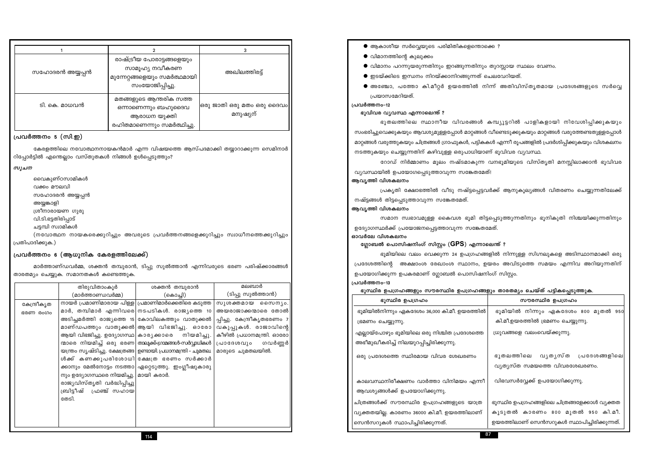| അയ്യങ്കാളി           | ה⊿ בייי ייייייייייייייי                                                            |                                                                                    |                                   | നഷ്ട്ടങ്ങൾ തിട്ടപ്പെടുത്താവുന്ന സങ്കേതമേത്.                                   |                                                                                 |  |
|----------------------|------------------------------------------------------------------------------------|------------------------------------------------------------------------------------|-----------------------------------|-------------------------------------------------------------------------------|---------------------------------------------------------------------------------|--|
|                      | ശ്രീനാരായണ ഗുരു                                                                    |                                                                                    |                                   | ആവൃത്തി വിശകലനം                                                               |                                                                                 |  |
| വി.ടി.ഭട്ടതിരിപ്പാട് |                                                                                    |                                                                                    |                                   |                                                                               | സമാന സ്വഭാവമുള്ള കൈവശ ഭൂമി തിട്ടപ്പെടുത്തുന്നതിനും ഭൂനികുതി നിശ്ചയിക്കുന്നതിനും |  |
| ചട്ടമ്പി സ്വാമികൾ    |                                                                                    |                                                                                    |                                   | ഉദ്യോഗസ്ഥർക്ക് പ്രയോജനപ്പെട്ടത്താവുന്ന സങ്കേതമേത്.                            |                                                                                 |  |
|                      | (നവോത്ഥന നായകരെക്കുറിച്ചും അവരുടെ പ്രവർത്തനങ്ങളെക്കുറിച്ചും സ്വാധീനത്തെക്കുറിച്ചും |                                                                                    |                                   | ഓവർലേ വിശകലനം<br>ഗ്ലോബൽ പൊസിഷനിംഗ് സിസ്റ്റം (GPS) എന്നാലെന്ത് ?               |                                                                                 |  |
| ദിക്കുക.)            |                                                                                    |                                                                                    |                                   |                                                                               |                                                                                 |  |
|                      | ത്തനം 6 (ആധുനിക കേരളത്തിലേക്ക്)                                                    |                                                                                    |                                   |                                                                               | ഭൂമിയിലെ വലം വെക്കുന്ന 24 ഉപഗ്രഹങ്ങളിൽ നിന്നുള്ള സിഗ്നലുകളെ അടിസ്ഥാനമാക്കി ഒരു  |  |
|                      | മാർത്താണ്ഡവർമ്മ, ശക്തൻ തമ്പുരാൻ, ടിപ്പു സുൽത്താൻ എന്നിവരുടെ ഭരണ പരിഷ്ക്കാരങ്ങൾ     |                                                                                    |                                   | പ്രദേശത്തിന്റെ അക്ഷാംശ രേഖാംശ സ്ഥാനം, ഉയരം അവിടുത്തെ സമയം എന്നിവ അറിയുന്നതിന് |                                                                                 |  |
|                      | ്യം ചെയ്യുക. സമാനതകൾ കണ്ടെത്തു <mark>ക.</mark>                                     |                                                                                    |                                   | ഉപയോഗിക്കുന്ന ഉപകരമാണ് ഗ്ലോബൽ പൊസിഷനിംഗ് സിസ്റ്റം.                            |                                                                                 |  |
|                      |                                                                                    |                                                                                    | മലബാർ                             | പ്രവർത്തനം-13                                                                 |                                                                                 |  |
|                      | തിരുവിതാംകൂർ<br>(മാർത്താണ്ഡവർമ്മ)                                                  | ശക്തൻ തമ്പുരാൻ<br>(കൊച്ചി)                                                         | (ടിപ്പു സുൽത്താൻ)                 | ഭൂസ്ഥിര ഉപഗ്രഹങ്ങളും സൗരസ്ഥിര ഉപഗ്രഹങ്ങളും താരതമ്യം ചെയ്ത് പട്ടികപ്പെടുത്തുക. |                                                                                 |  |
|                      |                                                                                    | നായർ പ്രമാണിമാരായ പിള്ള  പ്രമാണിമാർക്കെതിരെ കടുത്ത                                 | സുശക്തമായ സൈനൃം.                  | ഭൂസ്ഥിര ഉപഗ്രഹം                                                               | സൗരസ്ഥിര ഉപഗ്രഹം                                                                |  |
| ന്ദ്രീകൃത<br>ი დიია  |                                                                                    | മാർ, തമ്പിമാർ എന്നിവരെ നടപടികൾ. രാജ്യത്തെ 10 അയരാജാക്കന്മാരെ തോൽ                   |                                   | ഭൂമിയിൽനിന്നും ഏകദേശം 36,000 കി.മീ. ഉയരത്തിൽ                                  | ഭൂമിയിൽ നിന്നും ഏകദേശം 800 മുതൽ 950                                             |  |
|                      |                                                                                    | അടിച്ചമർത്തി രാജ്യത്തെ 15  കോവിലകത്തും വാതുക്കൽ  പ്പിച്ചു. കേന്ദ്രീകൃതഭരണം 7       |                                   | ഭ്രമണം ചെയ്യുന്നു.                                                            | കി.മീ.ഉയരത്തിൽ ഭ്രമണം ചെയ്യുന്നു.                                               |  |
|                      |                                                                                    | മാണ്ഡപത്തും വാതുക്കൽ ആയി വിഭജിച്ചു. ഓരോ                                            | വകുപ്പുകൾ. രാജാവിന്റെ             |                                                                               |                                                                                 |  |
|                      | ആയി വിഭജിച്ചു. ഉദ്യോഗസ്ഥ  കാര്യക്കാരെ നിയമിച്ചു.                                   |                                                                                    | കീഴിൽ പ്രധാനമന്ത്രി. ഓരോ <b> </b> | എല്ലായ്പോഴും ഭൂമിയിലെ ഒരു നിശ്ചിത പ്രദേശത്തെ                                  | ധ്രുവങ്ങളെ വലംവെയ്ക്കുന്നു.                                                     |  |
|                      |                                                                                    | ന്മാരെ നിയമിച്ച് ഒരു ഭരണ താലൂക്ക്-ഗ്രാമങ്ങൾ-സർവ്വാധികൾ                             | പ്രാദേശവും ഗവർണ്ണർ                | അഭീമുഖീകരിച്ച് നിലയുറപ്പിച്ചിരിക്കുന്നു.                                      |                                                                                 |  |
|                      |                                                                                    | യന്ത്രം സൃഷ്ടിച്ചു. ക്ഷേത്രങ്ങ  ഉണ്ടായി പ്രധാനമന്ത്രി – ചുമതല.   മാരുടെ  ചുമതലയിൽ. |                                   | ഒരു പ്രദേശത്തെ സ്ഥിരമായ വിവര ശേഖരണം                                           | ഭൂതലത്തിലെ വൃതൃസ്ത പ്രദേശങ്ങളിലെ                                                |  |
|                      |                                                                                    | ൾക്ക് കണക്കുപരിശോധി ക്ഷേത്ര ഭരണം സർക്കാർ                                           |                                   |                                                                               |                                                                                 |  |
|                      |                                                                                    | ക്കാനും മേൽനോട്ടം നടത്താ  ഏറ്റെടുത്തു. ഇംഗ്ലീഷുകാരു                                |                                   |                                                                               | വ്യത്യസ്ത സമയത്തെ വിവരശേഖരണം.                                                   |  |
|                      | നും ഉദ്യോഗസ്ഥരെ നിയമിച്ചു.   മായി കരാർ.                                            |                                                                                    |                                   | കാലവസ്ഥനിരീക്ഷണം വാർത്താ വിനിമയം എന്നീ                                        | വിഭവസർവ്വേക്ക് ഉപയോഗിക്കുന്നു.                                                  |  |
|                      | രാജ്യവിസ്തൃതി വർദ്ധിപ്പിച്ചു <br>ഫ്രഞ്ച് സഹായ<br>ബ്രിട്ടീഷ്                        |                                                                                    |                                   | ആവശ്യങ്ങൾക്ക് ഉപയോഗിക്കുന്നു.                                                 |                                                                                 |  |
|                      | തേടി.                                                                              |                                                                                    |                                   |                                                                               |                                                                                 |  |
|                      |                                                                                    |                                                                                    |                                   | ചിത്രങ്ങൾക്ക് സൗരസ്ഥിര ഉപഗ്രഹങ്ങളുടെ യാത്ര                                    | ഭൂസ്ഥിര ഉപഗ്രഹങ്ങളിലെ ചിത്രങ്ങളേക്കാൾ വ്യക്തത                                   |  |
|                      |                                                                                    |                                                                                    |                                   | വ്യക്തതയില്ല. കാരണം 36000 കി.മീ. ഉയരത്തിലാണ്                                  | കൂടുതൽ കാരണം 800 മുതൽ 950 കി.മീ.                                                |  |
|                      |                                                                                    |                                                                                    |                                   | 'സെൻസറുകൾ സ്ഥാപിച്ചിരിക്കുന്നത്.                                              | ഉയരത്തിലാണ് സെൻസറുകൾ സ്ഥാപിച്ചിരിക്കുന്നത്.                                     |  |
|                      |                                                                                    |                                                                                    |                                   | 87                                                                            |                                                                                 |  |
|                      |                                                                                    | 114                                                                                |                                   |                                                                               |                                                                                 |  |

പ്രകൃതി ക്ഷോഭത്തിൽ വീടു നഷ്ട്ടപ്പെട്ടവർക്ക് ആനുകൂല്യങ്ങൾ വിതരണം ചെയ്യുന്നതിലേക്ക്

റോഡ് നിർമ്മാണം മൂലം നഷ്ടമാകുന്ന വനഭൂമിയുടെ വിസ്തൃതി മനസ്ലിലാക്കാൻ ഭൂവിവര വ്യവസ്ഥയിൽ ഉപയോഗപ്പെടുത്താവുന്ന സങ്കേതമേത്! ആവൃത്തി വിശകലനം

ഭൂതലത്തിലെ സ്ഥാനീയ വിവരങ്ങൾ കമ്പ്യൂട്ടറിൽ പാളികളായി നിവേശിപ്പിക്കുകയും സംഭരിച്ചുവെക്കുകയും ആവശ്യമുള്ളപ്പോൾ മാറ്റങ്ങൾ വീണ്ടെടുക്കുകയും മാറ്റങ്ങൾ വരുത്തേണ്ടതുള്ളപോൾ മാറ്റങ്ങൾ വരുത്തുകയും ചിത്രങ്ങൾ ഗ്രാഫുകൾ, പട്ടികകൾ എന്നീ രൂപങ്ങളിൽ പ്രദർശിപ്പിക്കുകയും വിശകലനം നടത്തുകയും ചെയ്യുന്നതിന് കഴിവുള്ള ഒരുപാധിയാണ് ഭൂവിവര വ്യവസ്ഥ.

ഭൂവിവര വ്യവസ്ഥ എന്നാലെന്ത് ?

# പ്രവർത്തനം-12

പ്രയാസമേറിയത്.

- $\bullet$  അഞ്ചോ, പത്തോ കി.മീറ്റർ ഉയരത്തിൽ നിന്ന് അതിവിസ്തൃതമായ പ്രദേശങ്ങളുടെ സർവ്വെ
- 
- $\bullet$  ഇടയ്ക്കിടെ ഇന്ധനം നിറയ്ക്കാനിറങ്ങുന്നത് ചെലവേറിയത്.
- $\bullet$  വിമാനം പറന്നുയരുന്നതിനും ഇറങ്ങുന്നതിനും തുറസ്സായ സ്ഥലം വേണം.
- $\bullet$  വിമാനത്തിന്റെ കുലുക്കം
- $\bullet$  ആകാശീയ സർവ്വെയുടെ പരിമിതികളെന്തൊക്കെ ?

| സഹോദരൻ അയ്യപ്പൻ | രാഷ്ട്രീയ പോരാട്ടങ്ങളെയും<br>സാമൂഹ്യ നവീകരണ<br>മുന്നേറ്റങ്ങളെയും സമർത്ഥമായി  <br>സംയോജിപ്പിച്ചു. | അഖിലത്തിരട്ട്                         |
|-----------------|--------------------------------------------------------------------------------------------------|---------------------------------------|
| ടി. കെ. മാധവൻ   | മതങ്ങളുടെ ആന്തരിക സത്ത<br>ഒന്നാണെന്നും ബഹുദൈവ<br>ആരാധന യുക്തി<br>രഹിതമാണെന്നും സമർത്ഥിച്ചു.      | ഒരു ജാതി ഒരു മതം ഒരു ദൈവം<br>മനുഷ്യന് |

പ്രവർത്തനം 5 (സി.ഇ)

വൈകുണ്ഠസാമികൾ

സഹോദരൻ അയ്യപ്പൻ

പ്രവർത്തനം 6 (ആധുനിക കേരളത്തിലേക്ക്)

താരതമ്യം ചെയ്യുക. സമാനതകൾ കണ്ടെത്തുക.

വക്കം മൗലവി

പ്രതിപാദിക്കുക.)

കേന്ദ്രീകൃത

ഭരണ രംഗം

സൂചന

റിപ്പോർട്ടിൽ എന്തെല്ലാം വസ്തുതകൾ നിങ്ങൾ ഉൾപെടുത്തും?

 $\overline{2}$ 

കേരളത്തിലെ നവോത്ഥനനായകൻമാർ എന്ന വിഷയത്തെ ആസ്പദമാക്കി തയ്യാറാക്കുന്ന സെമിനാർ

 $\mathbf{z}$ 

### അടിച്ചമർത്തി രാജ്യത്തെ 15 കോവിലകത്തും വാതുക്കൽ പ്പിച്ചു. കേന്ദ്രീകൃതഭരണ വകുപ്പുകൾ. രാജാവി മാണ്ഡപത്തും വാതുക്കൽ|ആയി വിഭജിച്ചു. ഓരോ ആയി വിഭജിച്ചു. ഉദ്യോഗസ്ഥ| കാരൃക്കാരെ നിയമിച്ചു. കീഴിൽ പ്രധാനമന്ത്ര<mark>ി</mark>. ഒാ ന്മാരെ നിയമിച്ച് ഒരു ഭരണ|താലുക്ക്ഗ്രാമങ്ങൾ-സർവ്വാധികൾ പ്രാദേശവും ഗവർ യന്ത്രം സൃഷ്ടിച്ചു. ക്ഷേത്രങ്ങ| ഉണ്ടായി പ്രധാനമന്ത്രി – ചുമതല. മാരുടെ ചുമതലയിൽ. ൾക്ക് കണക്കുപരിശോധി|ക്ഷേത്ര ഭരണം സർക്കാർ ക്കാനും മേൽനോട്ടം നടത്താ|ഏറ്റെടുത്തു. ഇംഗ്ലീഷുകാരു നും ഉദ്യോഗസ്ഥരെ നിയമിച്ചു.| മായി കരാർ. രാജ്യവിസ്തൃതി വർദ്ധിപ്പിച്ചു ബ്രിട്ടീഷ് ഫ്രഞ്ച് സഹായ തേടി 114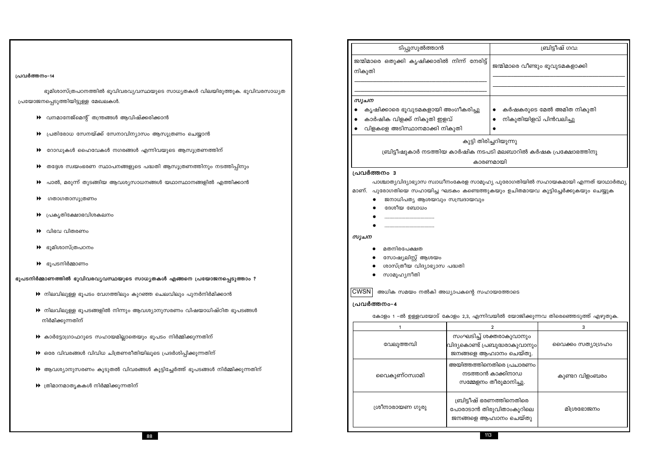|                                                                                                                                                                     | ടിപ്പുസുൽത്താൻ                                                                                                                                                                       |                                                                                      | ബ്രിട്ടീഷ് ഗവ:                  |  |  |
|---------------------------------------------------------------------------------------------------------------------------------------------------------------------|--------------------------------------------------------------------------------------------------------------------------------------------------------------------------------------|--------------------------------------------------------------------------------------|---------------------------------|--|--|
| പ്രവർത്തനം-14                                                                                                                                                       | ജന്മിമാരെ ഒതുക്കി കൃഷിക്കാരിൽ നിന്ന് നേരിട്ട്<br>നികുതി                                                                                                                              |                                                                                      | ജന്മിമാരെ വീണ്ടും ഭൂവുടമകളാക്കി |  |  |
|                                                                                                                                                                     |                                                                                                                                                                                      |                                                                                      |                                 |  |  |
| ഭൂമിശാസ്ത്രപഠനത്തിൽ ഭൂവിവരവ്യവസ്ഥയുടെ സാധ്യതകൾ വിലയിരുത്തുക. ഭൂവിവരസാധ്യത                                                                                           | സൂചന                                                                                                                                                                                 |                                                                                      |                                 |  |  |
| പ്രയോജനപ്പെടുത്തിയിട്ടുള്ള മേഖലകൾ.<br>▶ വനമാനേജ്മെന്റ് തന്ത്രങ്ങൾ ആവിഷ്ക്കരിക്കാൻ                                                                                   | കൃഷിക്കാരെ ഭൂവുടമകളായി അംഗീകരിച്ചു<br>കാർഷിക വിളക്ക് നികുതി ഇളവ്                                                                                                                     | ₩<br>☀ നികുതിയിളവ് പിൻവലിച്ചു                                                        | കർഷകരുടെ മേൽ അമിത നികുതി        |  |  |
| $\blacktriangleright$ പ്രതിരോധ സേനയ്ക്ക് സേനാവിന്യാസം ആസൂത്രണം ചെയ്യാൻ                                                                                              | വിളകളെ അടിസ്ഥാനമാക്കി നികുതി                                                                                                                                                         |                                                                                      |                                 |  |  |
| $\blacktriangleright$ റോഡുകൾ ഹൈവേകൾ നഗരങ്ങൾ എന്നിവയുടെ ആസൂത്രണത്തിന്                                                                                                | ബ്രിട്ടീഷുകാർ നടത്തിയ കാർഷിക നടപടി മലബാറിൽ കർഷക പ്രക്ഷോഭത്തിനു                                                                                                                       | കുട്ടി തിരിച്ചറിയുന്നു                                                               |                                 |  |  |
| $\blacktriangleright$ തദ്ദേശ സ്വയംഭരണ സ്ഥാപനങ്ങളുടെ പദ്ധതി ആസൂത്രണത്തിനും നടത്തിപ്പിനും                                                                             |                                                                                                                                                                                      | കാരണമായി                                                                             |                                 |  |  |
| $\blacktriangleright$ പാൽ, മരുന്ന് തുടങ്ങിയ ആവശ്യസാധനങ്ങൾ യഥാസ്ഥാനങ്ങളിൽ എത്തിക്കാൻ                                                                                 | പ്രവർത്തനം 3<br>പാശ്ചാത്യവിദ്യാഭ്യാസ സ്വാധീനംകേരള സാമൂഹ്യ പുരോഗതിയിൽ സഹായകമായി എന്നത് യാഥാർത്ഥ്യ<br>മാണ്. പുരോഗതിയെ സഹായിച്ച ഘടകം കണ്ടെത്തുകയും ഉചിതമായവ കൂട്ടിച്ചേർക്കുകയും ചെയ്യുക |                                                                                      |                                 |  |  |
| ▶ ഗതാഗതാസൂത്രണം                                                                                                                                                     | ജനാധിപത്യ ആശയവും സമ്പ്രദായവും                                                                                                                                                        |                                                                                      |                                 |  |  |
| $\blacklozenge$ പ്രകൃതിക്ഷോഭവിശകലനം                                                                                                                                 | ദേശീയ ബോധം                                                                                                                                                                           |                                                                                      |                                 |  |  |
| $\blacktriangleright$ വിഭവ വിതരണം                                                                                                                                   | സൂചന                                                                                                                                                                                 |                                                                                      |                                 |  |  |
| ▶ ഭൂമിശാസ്ത്രപഠനം                                                                                                                                                   | മതനിരപേക്ഷത                                                                                                                                                                          |                                                                                      |                                 |  |  |
| $\blacktriangleright$ ഭൂപടനിർമ്മാണം                                                                                                                                 | സോഷ്യലിസ്റ്റ് ആശയം<br>ശാസ്ത്രീയ വിദ്യാഭ്യാസ പദ്ധതി                                                                                                                                   |                                                                                      |                                 |  |  |
| ഭൂപടനിർമ്മാണത്തിൽ ഭൂവിവരവ്യവസ്ഥയുടെ സാധ്യതകൾ എങ്ങനെ പ്രയോജനപ്പെടുത്താം ?                                                                                            | സാമൂഹ്യനീതി                                                                                                                                                                          |                                                                                      |                                 |  |  |
| $\blacktriangleright$ നിലവിലുള്ള ഭൂപടം വേഗത്തിലും കുറഞ്ഞ ചെലവിലും പുനർനിർമിക്കാൻ                                                                                    | $\fbox{CWSN} \big\vert$ അധിക സമയം നൽകി അധ്യാപകന്റെ സഹായത്തോടെ                                                                                                                        |                                                                                      |                                 |  |  |
| $\blacktriangleright$ നിലവിലുള്ള ഭൂപടങ്ങളിൽ നിന്നും ആവശ്യാനുസരണം വിഷയാധിഷ്ഠിത ഭൂപടങ്ങൾ<br>നിർമിക്കുന്നതിന്                                                          | പ്രവർത്തനം-4<br>കോളം 1 -ൽ ഉള്ളവയോട് കോളം 2,3, എന്നിവയിൽ യോജിക്കുന്നവ തിരെഞ്ഞെടുത്ത് എഴുതുക.                                                                                          |                                                                                      |                                 |  |  |
|                                                                                                                                                                     |                                                                                                                                                                                      | $\overline{2}$                                                                       | 3                               |  |  |
| $\blacktriangleright$ കാർട്ടോഗ്രാഫറുടെ സഹായമില്ലാതെയും ഭൂപടം നിർമ്മിക്കുന്നതിന്<br>$\blacktriangleright$ ഒരേ വിവരങ്ങൾ വിവിധ ചിത്രണരീതിയിലൂടെ പ്രദർശിപ്പിക്കുന്നതിന് | വേലുത്തമ്പി                                                                                                                                                                          | സംഘടിച്ച് ശക്തരാകുവാനും<br>വിദ്യകൊണ്ട് പ്രബുദ്ധരാകുവാനും <br>ജനങ്ങളെ ആഹ്വാനം ചെയ്തു. | വൈക്കം സത്യാഗ്രഹം               |  |  |
| ▶ ആവശ്യാനുസരണം കൂടുതൽ വിവരങ്ങൾ കൂട്ടിച്ചേർത്ത് ഭൂപടങ്ങൾ നിർമ്മിക്കുന്നതിന്                                                                                          | വൈകുണ്ഠസ്വാമി                                                                                                                                                                        | അയിത്തത്തിനെതിരെ പ്രചാരണം<br>നടത്താൻ കാക്കിനാഡ                                       | കുണ്ടറ വിളംബരം                  |  |  |
| $\blacktriangleright$ ത്രിമാനമാതൃകകൾ നിർമ്മിക്കുന്നതിന്                                                                                                             |                                                                                                                                                                                      | സമ്മേളനം തീരുമാനിച്ചു.                                                               |                                 |  |  |
|                                                                                                                                                                     | ശ്രീനാരായണ ഗുരു                                                                                                                                                                      | ബ്രിട്ടീഷ് ഭരണത്തിനെതിരെ<br>പോരാടാൻ തിരുവിതാംകൂറിലെ<br>ജനങ്ങളെ ആഹ്വാനം ചെയ്തു        | മിശ്രഭോജനം                      |  |  |
| 88                                                                                                                                                                  |                                                                                                                                                                                      | 113                                                                                  |                                 |  |  |

- $\blacktriangleright$  പ്രതിരോധ സേനയ്ക്ക് സേനാവിന്യാസം ആസൂത്രണം ചെയ്യാൻ
- $\blacktriangleright$  വനമാനേജ്മെന്റ് തന്ത്രങ്ങൾ ആവിഷ്ക്കരിക്കാൻ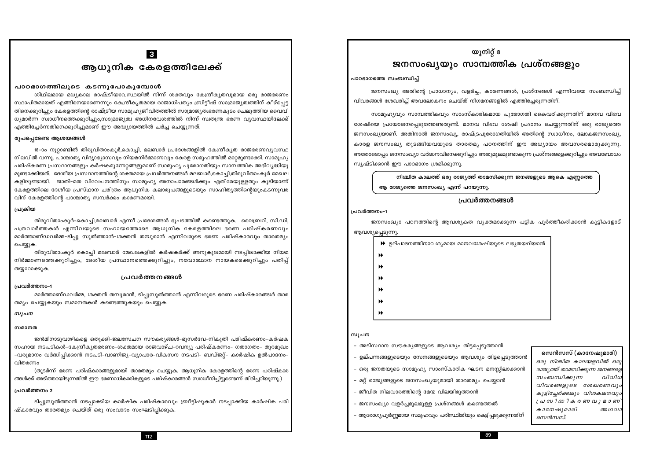# $|3|$ ആധുനിക കേരളത്തിലേക്ക്

### പാഠഭാഗത്തിലുടെ കടന്നുപോകുമ്പോൾ

ശിഥിലമായ മധ്യകാല രാഷ്ട്രീയാവസ്ഥയിൽ നിന്ന് ശക്തവും കേന്ദ്രീകൃതവുമായ ഒരു രാജഭരണം സ്ഥാപിതമായത് എങ്ങിനെയാണെന്നും കേന്ദ്രീകൃതമായ രാജാധിപത്യം ബ്രിട്ടീഷ് സാമ്രാജ്യത്വത്തിന് കീഴ്പെട്ട തിനെക്കുറിച്ചും കേരളത്തിന്റെ രാഷ്ട്രീയ സാമൂഹ്യജീവിതത്തിൽ സാമ്രാജ്യത്വഭരണകുടം ചെലുത്തിയ വൈവി ധ്യമാർന്ന സ്വാധീനത്തെക്കുറിച്ചും,സാമ്രാജ്യത്വ അധിനവേശത്തിൽ നിന്ന് സ്വതന്ത്ര ഭരണ വ്യവസ്ഥയിലേക്ക് എത്തിച്ചേർന്നതിനെക്കുറിച്ചുമാണ് ഈ അദ്ധ്യായത്തിൽ ചർച്ച ചെയ്യുന്നത്.

### രുപപ്പെടേണ്ട ആശയങ്ങൾ

18–ാം നൂറ്റാണ്ടിൽ തിരുവിതാംകൂർ,കൊച്ചി, മലബാർ പ്രദേശങ്ങളിൽ കേന്ദ്രീകൃത രാജഭരണവ്യവസ്ഥ നിലവിൽ വന്നു. പാശ്ചാത്യ വിദ്യാഭ്യാസവും നിയമനിർമ്മാണവും കേരള സമൂഹത്തിൽ മാറ്റമുണ്ടാക്കി. സാമൂഹ്യ പരിഷ്കരണ പ്രസ്ഥാനങ്ങളും കർഷകമുന്നേറ്റങ്ങളുമാണ് സാമൂഹ്യ പുരോഗതിയും സാമ്പത്തിക അഭിവൃദ്ധിയു മുണ്ടാക്കിയത്. ദേശീയ പ്രസ്ഥാനത്തിന്റെ ശക്തമായ പ്രവർത്തനങ്ങൾ മലബാർ,കൊച്ചി,തിരുവിതാംകുർ മേഖല കളിലൂണ്ടായി. ജാതി-മത വിവേചനത്തിനും സാമൂഹ്യ അനാചാരങ്ങൾക്കും എതിരേയുള്ളതും കൂടിയാണ് കേരളത്തിലെ ദേശീയ പ്രസ്ഥാന ചരിത്രം ആധുനിക കലാരൂപങ്ങളുടെയും സാഹിത്യത്തിന്റെയുംകടന്നുവര വിന് കേരളത്തിന്റെ പാശ്ചാത്യ സമ്പർക്കം കാരണമായി.

### പ്രക്രിയ

തിരുവിതാംകൂർ–കൊച്ചി,മലബാർ എന്നീ പ്രദേശങ്ങൾ ഭൂപടത്തിൽ കണ്ടെത്തുക. ലൈബ്രറി, സി.ഡി. പത്രവാർത്തകൾ എന്നിവയുടെ സഹായത്തോടെ ആധുനിക കേരളത്തിലെ ഭരണ പരിഷ്കരണവും മാർത്താണ്ഡവർമ്മ–ടിപു സൂൽത്താൻ–ശക്തൻ തമ്പൂരാൻ എന്നിവരുടെ ഭരണ പരിഷ്കാരവും താരതമ്യം ചെയ്യുക.

തിരുവിതാംകുർ കൊച്ചി മലബാർ മേഖലകളിൽ കർഷകർക്ക് അനുകുലമായി നടപ്പിലാക്കിയ നിയമ നിർമ്മാണത്തെക്കുറിച്ചും, ദേശീയ പ്രസ്ഥാനത്തെക്കുറിച്ചും, നവോത്ഥാന നായകരെക്കുറിച്ചും പതിപ്പ് തയ്യാറാക്കുക.

### <u>പ്രവർത്തനങ്ങൾ</u>

#### പ്രവർത്തനം-1

മാർത്താണ്ഡവർമ്മ, ശക്തൻ തമ്പുരാൻ, ടിപ്പുസുൽത്താൻ എന്നിവരുടെ ഭരണ പരിഷ്കാരങ്ങൾ താര തമ്യം ചെയ്യുകയും സമാനതകൾ കണ്ടെത്തുകയും ചെയ്യുക.

#### സൂചന

#### സമാനത

ജൻമിനാടുവാഴികളെ ഒതുക്കി-ജലസേചന സൗകര്യങ്ങൾ-ഭൂസർവേ-നികുതി പരിഷ്കരണം-കർഷക സഹായ നടപടികൾ–കേന്ദ്രീകൃതഭരണം–ശക്തമായ രാജവാഴ്ച–റവന്യൂ പരിഷ്കരണം– ഗതാഗതം– തുറമുഖം –വരുമാനം വർദ്ധിപ്പിക്കാൻ നടപടി–വാണിജ്യ–വ്യാപാര–വികസന നടപടി– ബഡ്ജറ്റ്– കാർഷിക ഉൽപാദനം– വിതരണം

(തുടർന്ന് ഭരണ പരിഷ്കാരങ്ങളുമായി താരതമ്യം ചെയ്യുക. ആധുനിക കേരളത്തിന്റെ ഭരണ പരിഷ്കാര ങ്ങൾക്ക് അടിത്തറയിടുന്നതിൽ ഈ ഭരണാധികാരികളുടെ പരിഷ്കാരങ്ങൾ സ്വാധീനിച്ചിട്ടുണ്ടെന്ന് തിരിച്ചറിയുന്നു.)

#### പ്രവർത്തനം 2

ടിപ്പുസുൽത്താൻ നടപ്പാക്കിയ കാർഷിക പരിഷ്കാരവും ബ്രീട്ടിഷുകാർ നടപ്പാക്കിയ കാർഷിക പരി ഷ്കാരവും താരതമ്യം ചെയ്ത് ഒരു സംവാദം സംഘടിപിക്കുക.

112

# യൂനിറ്റ് 8 ജനസംഖ്യയും സാമ്പത്തിക പ്രശ്നങ്ങളും

#### പാഠഭാഗത്തെ സംബന്ധിച്ച്

ജനസംഖ്യ അതിന്റെ പ്രാധാന്യം, വളർച്ച, കാരണങ്ങൾ, പ്രശ്നങ്ങൾ എന്നിവയെ സംബന്ധിച്ച് വിവരങ്ങൾ ശേഖരിച് അവലോകനം ചെയ്ത് നിഗമനങ്ങളിൽ എത്തിചേരുന്നതിന്.

സാമുഹൃവും സാമ്പത്തികവും സാംസ്കാരികമായ പുരോഗതി കൈവരിക്കുന്നതിന് മാനവ വിഭവ ശേഷിയെ പ്രയോജനപ്പെടുത്തേണ്ടതുണ്ട്. മാനവ വിഭവ ശേഷി പ്രദാനം ചെയ്യുന്നതിന് ഒരു രാജ്യത്തെ ജനസംഖ്യയാണ്. അതിനാൽ ജനസംഖ്യ, രാഷ്ട്രപുരോഗതിയിൽ അതിന്റെ സ്വാധീനം, ലോകജനസംഖ്യ, കാരള ജനസംഖ്യ തുടങ്ങിയവയുടെ താരതമ്യ പഠനത്തിന് ഈ അധ്യായം അവസരമൊരുക്കുന്നു. അതോടൊപ്പം ജനസംഖ്യാ വർദ്ധനവിനെക്കുറിച്ചും അതുമൂലമുണ്ടാകുന്ന പ്രശ്നങ്ങളെക്കുറിച്ചും അവബോധം സൃഷ്ടിക്കാൻ ഈ പാഠഭാഗം ശ്രമിക്കുന്നു.

# നിശ്ചിത കാലത്ത് ഒരു രാജ്യത്ത് താമസിക്കുന്ന ജനങ്ങളുടെ ആകെ എണ്ണത്തെ ആ രാജ്യത്തെ ജനസംഖ്യ എന്ന് പറയുന്നു.

# ച്രവർത്തനങ്ങൾ

#### പ്രവർത്തനം-1

ജനസംഖ്യാ പഠനത്തിന്റെ ആവശ്യകത വ്യക്തമാക്കുന്ന പട്ടിക പൂർത്തീകരിക്കാൻ കൂട്ടികളോട്

ആവശ്യപ്പെടുന്നു.  $\blacktriangleright$  ഉല്പാദനത്തിനാവശ്യമായ മാനവശേഷിയുടെ ലഭ്യതയറിയാൻ  $\blacktriangleright$ Ы  $\blacktriangleright$  $\blacktriangleright$  $\blacktriangleright$ 

### സൂചന

- അടിസ്ഥാന സൗകര്യങ്ങളുടെ ആവശ്യം തിട്ടപ്പെടുത്താൻ

 $\blacktriangleright$ 

– ഉല്പന്നങ്ങളുടെയും സേനങ്ങളുടെയും ആവശ്യം തിട്ടപ്പെടുത്താൻ

- ഒരു ജനതയുടെ സാമൂഹ്യ സാംസ്കാരിക ഘടന മനസ്സിലാക്കാൻ
	-
- മറ്റ് രാജ്യങ്ങളുടെ ജനസംഖ്യയുമായി താരതമ്യം ചെയ്യാൻ

– ജനസംഖ്യാ വളർച്ചമൂലമുള്ള പ്രശ്നങ്ങൾ കണ്ടെത്തൽ

- ജീവിത നിലവാരത്തിന്റെ മേന്മ വിലയിരുത്താൻ

ആരോഗ്യപൂർണ്ണമായ സമൂഹവും പരിസ്ഥിതിയും കെട്ടിപ്പടുക്കുന്നതിന്

89

### സെൻസസ് (കാനേഷുമാരി)

ഒരു നിശ്ചിത കാലയളവിൽ ഒരു രാജ്യത്ത് താമസിക്കുന്ന ജനങ്ങളെ സംബന്ധിക്കുന്ന വിവിധ വിവരങ്ങളുടെ ശേഖരണവും കൂട്ടിച്ചേർക്കലും വിശകലനവും പ്രസിദ്ധീകരണവുമാണ് കാനേഷുമാരി അഥവാ സെൻസസ്.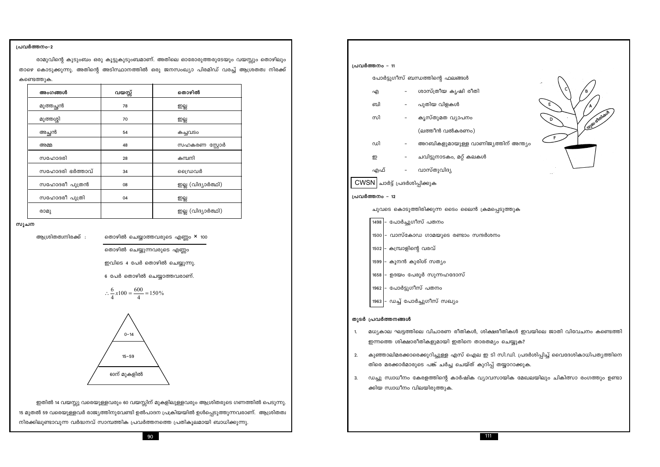ഇതിൽ 14 വയസ്സു വരെയുള്ളവരും 60 വയസ്സിന് മുകളിലുള്ളവരും ആശ്രിതരുടെ ഗണത്തിൽ പെടുന്നു. 15 മുതൽ 59 വരെയുള്ളവർ രാജ്യത്തിനുവേണ്ടി ഉൽപാദന പ്രക്രിയയിൽ ഉൾപ്പെടുത്തുന്നവരാണ്. ആശ്രിതത്വ നിരക്കിലുണ്ടാവുന്ന വർദ്ധനവ് സാമ്പത്തിക പ്രവർത്തനത്തെ പ്രതികൂലമായി ബാധിക്കുന്നു.



$$
\therefore \frac{6}{4}x100 = \frac{600}{4} = 150\%
$$

ഇവിടെ 4 പേർ തൊഴിൽ ചെയ്യുന്നു.

തൊഴിൽ ചെയ്യുന്നവരുടെ എണ്ണം

സൂചന

പ്രവർത്തനം-2

| ആശ്രിതത്വനിരക്ക് : |  | തൊഴിൽ ചെയ്യാത്തവരുടെ എണ്ണം <b>×</b> 100 |  |  |
|--------------------|--|-----------------------------------------|--|--|

|  | അംഗങ്ങൾ         | വയസ്സ് | തൊഴിൽ              |
|--|-----------------|--------|--------------------|
|  | മുത്തച്ഛൻ       | 78     | ஜ்                 |
|  | മുത്തശ്ശി       | 70     | ஜ்                 |
|  | അച്ഛൻ           | 54     | കച്ചവടം            |
|  | അമ്മ            | 48     | സഹകരണ സ്റ്റോർ      |
|  | സഹോദരി          | 28     | കമ്പനി             |
|  | സഹോദരി ഭർത്താവ് | 34     | ഡൈവർ               |
|  | സഹോദരീ പുത്രൻ   | 08     | ഇല്ല (വിദ്യാർത്ഥി) |
|  | സഹോദരീ പുത്രി   | 04     | ஜ்                 |
|  | രാമു            |        | ഇല്ല (വിദ്യാർത്ഥി) |

രാമുവിന്റെ കുടുംബം ഒരു കൂട്ടുകുടുംബമാണ്. അതിലെ ഓരോരുത്തരുടേയും വയസ്സും തൊഴിലും താഴെ കൊടുക്കുന്നു. അതിന്റെ അടിസ്ഥാനത്തിൽ ഒരു ജനസംഖ്യാ പിരമിഡ് വരച്ച് ആശ്രതത്വ നിരക്ക് കണ്ടെത്തുക.

| പ്രവർത്തനം - 11                                        |                                             |
|--------------------------------------------------------|---------------------------------------------|
|                                                        | പോർട്ടുഗീസ് ബന്ധത്തിന്റെ ഫലങ്ങൾ             |
| എ                                                      | ശാസ്ത്രീയ കൃഷി രീതി                         |
| ബി                                                     | – പുതിയ വിളകൾ                               |
| സി                                                     | കൃസ്തുമത വ്യാപനം                            |
|                                                        | (ലത്തീൻ വൽകരണം)                             |
| ഡി                                                     | അറബികളുമായുള്ള വാണിജ്യത്തിറ                 |
| ഇ                                                      | –       ചവിട്ടുനാടകം, മറ്റ് കലകൾ            |
|                                                        | എഫ് - വാസ്തുവിദ്യ                           |
| $\overline{\text{CWSN}}\vert$ ചാർട്ട് പ്രദർശിപ്പിക്കുക |                                             |
| പ്രവർത്തനം - 12                                        |                                             |
|                                                        | ചുവടെ കൊടുത്തിരിക്കുന്ന ടൈം ലൈൻ ക്രമപ്പെടുര |
| 1498  - പോർച്ചുഗീസ് പതനം                               |                                             |
|                                                        | 1500 - വാസ്കോഡ ഗാമയുടെ രണ്ടാം സന്ദർശനം      |
| 1502 – കമ്പ്രാളിന്റെ വരവ്                              |                                             |
|                                                        |                                             |

1599 – കൂനൻ കുരിശ് സത്യം

1962 – പോർട്ടുഗീസ് പതനം

1658 - ഉദയം പേരൂർ സുന്നഹദോസ്

1963 - ഡച്ച് പോർച്ചുഗീസ് സഖ്യം

### തുടർ പ്രവർത്തനങ്ങൾ

- മധ്യകാല ഘട്ടത്തിലെ വിചാരണ രീതികൾ, ശിക്ഷരീതികൾ ഇവയിലെ ജാതി വിവേചനം കണ്ടെത്തി  $1.$ ഇന്നത്തെ ശിക്ഷാരീതികളുമായി ഇതിനെ താരതമ്യം ചെയ്യുക?
- കുഞ്ഞാലിമരക്കാരെക്കുറിച്ചുള്ള എസ് ഐല ഇ ടി സി.ഡി. പ്രദർശിപ്പിച്ച് വൈദേശികാധിപത്യത്തിനെ 2. തിരെ മരക്കാർമാരുടെ പങ്ക് ചർച്ച ചെയ്ത് കുറിപ്പ് തയ്യാറാക്കുക.
- $3.$ ഡച്ചു സ്വാധീനം കേരളത്തിന്റെ കാർഷിക വ്യാവസായിക മേഖലയിലും ചികിത്സാ രംഗത്തും ഉണ്ടാ ക്കിയ സ്വാധീനം വിലയിരുത്തുക.

![](_page_9_Figure_24.jpeg)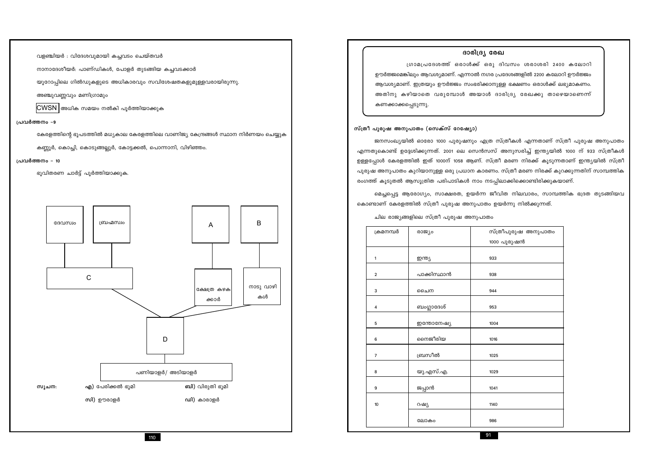| ۹ |  |
|---|--|
|   |  |
|   |  |

![](_page_10_Figure_2.jpeg)

ഭൂവിതരണ ചാർട്ട് പൂർത്തിയാക്കുക.

#### പ്രവർത്തനം - 10

കണ്ണൂർ, കൊച്ചി, കൊടുങ്ങല്ലൂർ, കോട്ടക്കൽ, പൊന്നാനി, വിഴിഞ്ഞം.

കേരളത്തിന്റെ ഭൂപടത്തിൽ മധ്യകാല കേരളത്തിലെ വാണിജ്യ കേന്ദ്രങ്ങൾ സ്ഥാന നിർണയം ചെയ്യുക

 $\mathsf B$ 

കൾ

#### പ്രവർത്തനം -9

 $\overline{\text{CWSN}}$  അധിക സമയം നൽകി പൂർത്തിയാക്കുക

അഞ്ചുവണ്ണവും മണിഗ്രാമും

യൂറോപ്പിലെ ഗിൽഡുകളുടെ അധികാരവും സവിശേഷതകളുമുള്ളവരായിരുന്നു.

നാനാദേശീയർ: പാണ്ഡികൾ, പോളർ തുടങ്ങിയ കച്ചവടക്കാർ

വളഞ്ചിയർ : വിദേശവുമായി കച്ചവടം ചെയ്തവർ

# ആവശ്യമാണ്. ഇത്രയും ഊർജ്ജം സംഭരിക്കാനുള്ള ഭക്ഷണം ഒരാൾക്ക് ലഭ്യമാകണം. അതിനു കഴിയാതെ വരുമ്പോൾ അയാൾ ദാരിദ്ര്യ രേഖക്കു താഴെയാണെന്ന്

കണക്കാക്കപ്പെടുന്നു.

### സ്ത്രീ പുരുഷ അനുപാതം (സെക്സ് റേഷ്യോ)

ജനസംഖ്യയിൽ ഓരോ 1000 പുരുഷനും എത്ര സ്ത്രീകൾ എന്നതാണ് സ്ത്രീ പുരുഷ അനുപാതം എന്നതുകൊണ്ട് ഉദ്ദേശിക്കുന്നത്. 2001 ലെ സെൻസസ് അനുസരിച്ച് ഇന്ത്യയിൽ 1000 ന് 933 സ്ത്രീകൾ ഉള്ളപ്പോൾ കേരളത്തിൽ ഇത് 1000ന് 1058 ആണ്. സ്ത്രീ മരണ നിരക്ക് കൂടുന്നതാണ് ഇന്ത്യയിൽ സ്ത്രീ പുരുഷ അനുപാതം കുറിയാനുള്ള ഒരു പ്രധാന കാരണം. സ്ത്രീ മരണ നിരക്ക് കുറക്കുന്നതിന് സാമ്പത്തിക രംഗത്ത് കൂടുതൽ ആസൂത്രിത പരിപാടികൾ നാം നടപ്പിലാക്കിക്കൊണ്ടിരിക്കുകയാണ്.

മെച്ചപ്പെട്ട ആരോഗ്യം, സാക്ഷരത, ഉയർന്ന ജീവിത നിലവാരം, സാമ്പത്തിക ഭദ്രത തുടങ്ങിയവ കൊണ്ടാണ് കേരളത്തിൽ സ്ത്രീ പുരുഷ അനുപാതം ഉയർന്നു നിൽക്കുന്നത്.

ചില രാജ്യങ്ങളിലെ സ്ത്രീ പുരുഷ അനുപാതം

| ക്രമനമ്പർ      | രാജ്യം      | സ്ത്രീപുരുഷ അനുപാതം |
|----------------|-------------|---------------------|
|                |             | 1000 പുരുഷൻ         |
| 1              | ഇന്ത്യ      | 933                 |
| $\overline{2}$ | പാക്കിസ്ഥാൻ | 938                 |
| 3              | ചൈന         | 944                 |
| 4              | ബംഗ്ലാദേശ്  | 953                 |
| 5              | ഇന്തോനേഷ്യ  | 1004                |
| 6              | നൈജീരിയ     | 1016                |
| $\overline{7}$ | ബ്രസീൽ      | 1025                |
| 8              | യു.എസ്.എ.   | 1029                |
| 9              | ജപ്പാൻ      | 1041                |
| 10             | റഷ്യ        | 1140                |
|                | ലോകം        | 986                 |

### ദാരിദ്ര്യ രേഖ

ഗ്രാമപ്രദേശത്ത് ഒരാൾക്ക് ഒരു ദിവസം ശരാശരി 2400 കലോറി ഊർജ്ജമെങ്കിലും ആവശ്യമാണ്. എന്നാൽ നഗര പ്രദേശങ്ങളിൽ 2200 കലോറി ഊർജ്ജം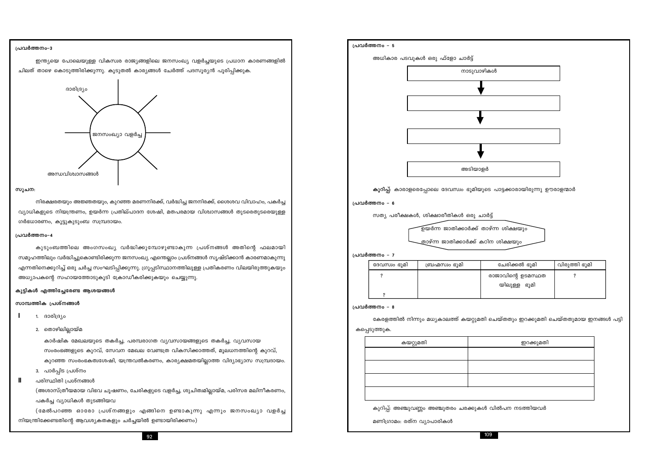#### പ്രവർത്തനം-3

ഇന്ത്യയെ പോലെയുള്ള വികസ്വര രാജ്യങ്ങളിലെ ജനസംഖ്യ വളർച്ചയുടെ പ്രധാന കാരണങ്ങളിൽ ചിലത് താഴെ കൊടുത്തിരിക്കുന്നു. കൂടുതൽ കാര്യങ്ങൾ ചേർത്ത് പദസൂര്യൻ പൂരിപ്പിക്കുക.

![](_page_11_Figure_2.jpeg)

#### സൂചന:

നിരക്ഷരതയും അജ്ഞതയും, കുറഞ്ഞ മരണനിരക്ക്, വർദ്ധിച്ച ജനനിരക്ക്, ശൈശവ വിവാഹം, പകർച്ച വ്യാധികളുടെ നിയന്ത്രണം, ഉയർന്ന പ്രതില്പാദന ശേഷി, മതപരമായ വിശ്വാസങ്ങൾ തുടരെതുടരെയുള്ള ഗർഭധാരണം, കൂട്ടുകുടുംബ സമ്പ്രദായം.

#### പ്രവർത്തനം-4

കുടുംബത്തിലെ അംഗസംഖ്യ വർദ്ധിക്കുമ്പോഴുണ്ടാകുന്ന പ്രശ്നങ്ങൾ അതിന്റെ ഫലമായി സമൂഹത്തിലും വർദ്ധിച്ചുകൊണ്ടിരിക്കുന്ന ജനസംഖ്യ എന്തെല്ലാം പ്രശ്നങ്ങൾ സൃഷ്ടിക്കാൻ കാരണമാകുന്നു എന്നതിനെക്കുറിച്ച് ഒരു ചർച്ച സംഘടിപ്പിക്കുന്നു. ഗ്രൂപ്പടിസ്ഥാനത്തിലുള്ള പ്രതികരണം വിലയിരുത്തുകയും അധ്യാപകന്റെ സഹായത്തോടുകൂടി ക്രോഡീകരിക്കുകയും ചെയ്യുന്നു.

#### കുട്ടികൾ എത്തിച്ചേരേണ്ട ആശയങ്ങൾ

#### സാമ്പത്തിക പ്രശ്നങ്ങൾ

- 1. ദാരിദ്ര്യം  $\blacksquare$ 
	- 2. തൊഴിലില്ലായ്മ

കാർഷിക മേഖലയുടെ തകർച്ച, പരമ്പരാഗത വ്യവസായങ്ങളുടെ തകർച്ച, വ്യവസായ സംരംഭങ്ങളുടെ കുറവ്, സേവന മേഖല വേണ്ടത്ര വികസിക്കാത്തത്, മൂലധനത്തിന്റെ കുറവ്, കുറഞ്ഞ സംരംഭകത്വശേഷി, യന്ത്രവൽകരണം, കാര്യക്ഷമതയില്ലാത്ത വിദ്യാഭ്യാസ സമ്പ്രദായം.

- 3. പാർപ്പിട പ്രശ്നം
- $\mathbf{I}$ പരിസ്ഥിതി പ്രശ്നങ്ങൾ

(അശാസ്ത്രീയമായ വിഭവ ചൂഷണം, ചേരികളുടെ വളർച്ച, ശുചിത്വമില്ലായ്മ, പരിസര മലിനീകരണം, പകർച്ച വ്യാധികൾ തുടങ്ങിയവ

(മേൽപറഞ്ഞ ഓരോ പ്രശ്നങ്ങളും എങ്ങിനെ ഉണ്ടാകുന്നു എന്നും ജനസംഖ്യാ വളർച്ച

നിയന്ത്രിക്കേണ്ടതിന്റെ ആവശ്യകതകളും ചർച്ചയിൽ ഉണ്ടായിരിക്കണം)

![](_page_11_Figure_17.jpeg)

കുറിപ്പ്: അഞ്ചുവണ്ണം അഞ്ചുതരം ചരക്കുകൾ വിര

മണിഗ്രാമം: രത്ന വ്യാപാരികൾ

#### 92

| ാട്ടക്കാരായിരുന്നു ഊരാളന്മാർ                           |               |  |
|--------------------------------------------------------|---------------|--|
|                                                        |               |  |
| ശിക്ഷയും                                               |               |  |
| രിക്ഷയും                                               |               |  |
| .<br>ചേരിക്കൽ ഭൂമി                                     | വിരുത്തി ഭൂമി |  |
| ാവിന്റെ ഉടമസ്ഥത<br>യിലുള്ള ഭൂമി                        | ş             |  |
| യ്തതും ഇറക്കുമതി ചെയ്തതുമായ ഇനങ്ങൾ പട്ട <mark>ി</mark> |               |  |
| ഇറക്കുമതി                                              |               |  |
|                                                        |               |  |
|                                                        |               |  |
|                                                        |               |  |
| ർപന നടത്ത <mark>ി</mark> യവർ                           |               |  |
|                                                        |               |  |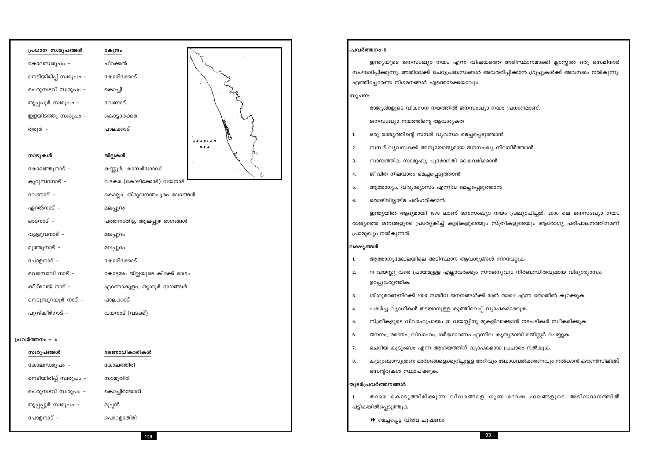| പ്രധാന സ്വരൂപങ്ങൾ      | കേന്ദ്രം                       |  |
|------------------------|--------------------------------|--|
| കോലസ്വരൂപം -           | ചിറക്കൽ                        |  |
| നെടിയിരിപ്പ് സ്വരൂപം – | കോഴിക്കോട്                     |  |
| പെരുമ്പടവ് സ്വരൂപം -   | കൊച്ചി                         |  |
| തൃപ്പപൂർ സ്വരൂപം -     | വേണാട്                         |  |
| ഇളയിടത്തു സ്വരൂപം -    | കൊട്ടാരക്കര                    |  |
| തരൂർ –                 | പാലക്കാട്                      |  |
|                        |                                |  |
| നാടുകൾ                 | ജില്ലകൾ                        |  |
| കോലത്തുനാട് -          | കണ്ണൂർ, കാസർഗോഡ്               |  |
| കുറുമ്പറനാട് -         | വടകര (കോഴിക്കോട്) വയനാട്       |  |
| വേണാട് -               | കൊല്ലം, തിരുവനന്തപുരം ഭാഗങ്ങൾ  |  |
| ഏറൽനാട് –              | മലപ്പുറം                       |  |
| ഓടനാട് -               | പത്തനംതിട്ട, ആലപ്പുഴ ഭാഗങ്ങൾ   |  |
| വള്ളുവനാട് -           | മലപ്പുറം                       |  |
| മുത്തുനാട് -           | മലപ്പുറം                       |  |
| പോളനാട് -              | കോഴിക്കോട്                     |  |
| വെമ്പൊലി നാട് -        | കോട്ടയം ജില്ലയുടെ കിഴക്ക് ഭാഗം |  |
| കീഴ്മലയ് നാട് -        | എറണാകുളം, തൃശൂർ ഭാഗങ്ങൾ        |  |
| നെടുമ്പുറയൂർ നാട് -    | പാലക്കാട്                      |  |
| പുറഴ്കീഴ്നാട് -        | വയനാട് (വടക്ക്)                |  |
|                        |                                |  |
| പ്രവർത്തനം - 4         |                                |  |
| സ്വരൂപങ്ങൾ             | ഭരണാധികാരികൾ                   |  |
| കോലസ്വരൂപം -           | കോലത്തിരി                      |  |
| നെടിയിരിപ്പ് സ്വരൂപം - | സാമൂതിരി                       |  |
| പെരുമ്പടവ് സ്വരൂപം -   | കൊച്ചിരാജാവ്                   |  |
| തൃപ്പപ്പൂർ സ്വരൂപം -   | മൂപ്പൻ                         |  |
| പോളനാട് -              | പൊറളാതിരി                      |  |
|                        |                                |  |

തൊഴിലില്ലാഴ്മ പരിഹരിക്കാൻ

- ആരോഗ്യം, വിദ്യാഭ്യാസം എന്നിവ മെച്ചപ്പെടുത്താൻ  $5.$
- 4.
- ജീവിത നിലവാരം മെച്ചപ്പെടുത്താൻ
- 
- സാമ്പത്തിക സാമൂഹ്യ പുരോഗതി കൈവരിക്കാൻ  $3.$
- 
- സമ്പദ് വ്യവസ്ഥക്ക് അനുയോജ്യമായ ജനസംഖ്യ നിലനിർത്താൻ  $2.$
- ഒരു രാജ്യത്തിന്റെ സമ്പദ് വ്യവസ്ഥ മെച്ചപ്പെടുത്താൻ  $1.$

ജനസംഖ്യാ നയത്തിന്റെ ആവശ്യകത

സൂചന: രാജ്യങ്ങളുടെ വികസന നയത്തിൽ ജനസംഖ്യാ നയം പ്രധാനമാണ്.

സംഘടിപ്പിക്കുന്നു. അതിലേക്ക് ചെറുപ്രബന്ധങ്ങൾ അവതരിപ്പിക്കാൻ ഗ്രൂപ്പുകൾക്ക് അവസരം നൽകുന്നു. എത്തിച്ചേരേണ്ട നിഗമനങ്ങൾ എന്തൊക്കെയാവും

പ്രവർത്തനം-5

6.

1.

 $2.$ 

 $3.$ 

4.

5.

6.

7.

8.

 $1.$ 

<sup>'</sup>തുടർപ്രവർത്തനങ്ങൾ

പട്ടികയിൽപ്പെടുത്തുക.

ലക്ഷ്യങ്ങൾ

പ്രാമുഖ്യം നൽകുന്നത്.

ഉറപ്പുവരുത്തിക.

സെന്ററുകൾ സ്ഥാപിക്കുക.

▶ മെച്ചപ്പെട്ട വിഭവ ചൂഷണം

93

ഇന്ത്യയുടെ ജനസംഖ്യാ നയം എന്ന വിഷയത്തെ അടിസ്ഥാനമാക്കി ക്ലാസ്സിൽ ഒരു സെമിനാർ

ഇന്ത്യയിൽ ആദ്യമായി 1976 ലാണ് ജനസംഖ്യാ നയം പ്രഖ്യാപിച്ചത്. 2000 ലെ ജനസംഖ്യാ നയം രാജ്യത്തെ ജനങ്ങളുടെ പ്രത്യേകിച്ച് കുട്ടികളുടെയും സ്ത്രീകളുടെയും ആരോഗ്യ പരിപാലനത്തിനാണ്

ആരോഗ്യമേഖലയിലെ അടിസ്ഥാന ആവശ്യങ്ങൾ നിറവേറ്റുക

14 വയസ്സു വരെ പ്രായമുള്ള എല്ലാവർക്കും സൗജന്യവും നിർബന്ധിതവുമായ വിദ്യാഭ്യാസം

ശിശുമരണനിരക്ക് 1000 സജീവ ജനനങ്ങൾക്ക് 30ൽ താഴെ എന്ന തോതിൽ കുറക്കുക.

പകർച്ച വ്യാധികൾ തടയാനുള്ള കുത്തിവെപ്പ് വ്യാപകമാക്കുക.

സ്ത്രീകളുടെ വിവാഹപ്രായം 20 വയസ്സിനു മുകളിലാക്കാൻ നടപടികൾ സ്ഥീകരിക്കുക.

ജനനം, മരണം, വിവാഹം, ഗർഭധാരണം എന്നിവ കൃത്യമായി രജിസ്റ്റർ ചെയ്യുക.

ചെറിയ കുടുംബം എന്ന ആശയത്തിന് വ്യാപകമായ പ്രചാരം നൽകുക.

കുടുംബാസൂത്രണ മാർഗങ്ങളെക്കുറിച്ചുള്ള അറിവും ബോധവൽക്കരണവും നൽകാൻ കൗൺസിലിങ്ങ്

താഴെ കൊടുത്തിരിക്കുന്ന വിവരങ്ങളെ ഗുണ-ദോഷ ഫലങ്ങളുടെ അടിസ്ഥാനത്തിൽ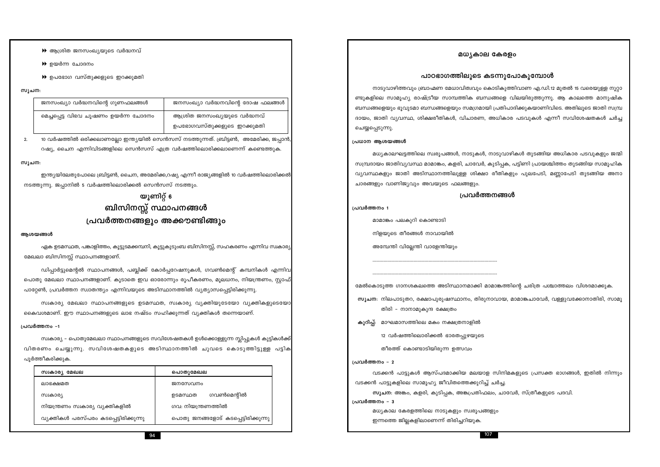| സ്വകാര്യ മേഖല                          | പൊതുമേഖല                            |
|----------------------------------------|-------------------------------------|
| ലാഭക്ഷമത                               | ജനസേവനം                             |
| സ്രകാര്യ                               | ഗവൺമെന്റിൽ<br>ഉടമസ്ഥത               |
| നിയന്ത്രണം സ്വകാര്യ വ്യക്തികളിൽ        | ഗവ: നിയന്ത്രണത്തിൽ                  |
| വ്യക്തികൾ പരസ്പരം കടപ്പെട്ടിരിക്കുന്നു | പൊതു ജനങ്ങളോട് കടപ്പെട്ടിരിക്കുന്നു |

പ്രവർത്തനം -1 സ്വകാര്യ – പൊതുമേഖലാ സ്ഥാപനങ്ങളുടെ സവിശേഷതകൾ ഉൾക്കൊള്ളുന്ന സ്ലിപ്പുകൾ കുട്ടികൾക്ക്

വിതരണം ചെയ്യുന്നു. സവിശേഷതകളുടെ അടിസ്ഥാനത്തിൽ ചുവടെ കൊടുത്തിട്ടുള്ള പട്ടിക

കൈവശമാണ്. ഈ സ്ഥാപനങ്ങളുടെ ലാഭ നഷ്ടം സഹിക്കുന്നത് വ്യക്തികൾ തന്നെയാണ്.

ഡിപ്പാർട്ടുമെന്റൽ സ്ഥാപനങ്ങൾ, പബ്ലിക്ക് കോർപ്പറേഷനുകൾ, ഗവൺമെന്റ് കമ്പനികൾ എന്നിവ പൊതു മേഖലാ സ്ഥാപനങ്ങളാണ്. കൂടാതെ ഇവ ഓരോന്നും രൂപീകരണം, മൂലധനം, നിയന്ത്രണം, സ്റ്റാഫ് പാറ്റേൺ, പ്രവർത്തന സ്വാതന്ത്യം എന്നിവയുടെ അടിസ്ഥാനത്തിൽ വ്യത്യാസപ്പെട്ടിരിക്കുന്നു.

സ്വകാര്യ മേഖലാ സ്ഥാപനങ്ങളുടെ ഉടമസ്ഥത, സ്വകാര്യ വ്യക്തിയുടേയോ വ്യക്തികളുടെയോ

ഏക ഉടമസ്ഥത, പങ്കാളിത്തം, കൂട്ടുടമക്കമ്പനി, കൂട്ടുകുടുംബ ബിസിനസ്സ്, സഹകരണം എന്നിവ സ്വകാര്യ മേഖലാ ബിസിനസ്സ് സ്ഥാപനങ്ങളാണ്.

# നടത്തുന്നു. ജപ്പാനിൽ 5 വർഷത്തിലൊരിക്കൽ സെൻസസ് നടത്തും. യൂണിറ്റ് 6 ബിസിനസ്സ് സ്ഥാപനങ്ങൾ പ്രവർത്തനങ്ങളും അക്കൗണ്ടിങ്ങും

സൂചന:

10 വർഷത്തിൽ ഒരിക്കലാണല്ലോ ഇന്ത്യയിൽ സെൻസസ് നടത്തുന്നത്. ബ്രിട്ടൺ, അമേരിക്ക, ജപ്പാൻ റഷ്യ, ചൈന എന്നിവിടങ്ങളിലെ സെൻസസ് എത്ര വർഷത്തിലൊരിക്കലാണെന്ന് കണ്ടെത്തുക.

ഇന്ത്യയിലേതുപോലെ ബ്രിട്ടൺ, ചൈന, അമേരിക്ക,റഷ്യ എന്നീ രാജ്യങ്ങളിൽ 10 വർഷത്തിലൊരിക്കൽ

| സുചന: |                                      |                                  |
|-------|--------------------------------------|----------------------------------|
|       | ജനസംഖ്യാ വർദ്ധനവിന്റെ ഗുണഫലങ്ങൾ      | ജനസംഖ്യാ വർദ്ധനവിന്റെ ദോഷ ഫലങ്ങൾ |
|       | മെച്ചപ്പെട്ട വിഭവ ചൂഷണം ഉയർന്ന ചോദനം | ആശ്രിത ജനസംഖ്യയുടെ വർദ്ധനവ്      |
|       |                                      | ഉപഭോഗവസ്തുക്കളുടെ ഇറക്കുമതി      |

 $\blacktriangleright$  ഉയർന്ന ചോദനം

 $\blacktriangleright$  ഉപഭോഗ വസ്തുക്കളുടെ ഇറക്കുമതി

 $\overline{2}$ .

ആശയങ്ങൾ

പൂർത്തീകരിക്കുക.

 $\blacktriangleright$  ആശ്രിത ജനസംഖ്യയുടെ വർദ്ധനവ്

മധ്യകാല കേരളം

പാഠഭാഗത്തിലുടെ കടന്നുപോകുമ്പോൾ

നാടുവാഴിത്തവും ബ്രാഹ്മണ മേധാവിത്വവും കൊടികുത്തിവാണ എ.ഡി.12 മുതൽ 15 വരെയുള്ള നൂറ്റാ ണ്ടുകളിലെ സാമൂഹ്യ രാഷ്ട്രീയ സാമ്പത്തിക ബന്ധങ്ങളെ വിലയിരുത്തുന്നു. ആ കാലത്തെ മാനുഷിക ബന്ധങ്ങളെയും ഭൂവുടമാ ബന്ധങ്ങളെയും സമഗ്രമായി പ്രതിപാദിക്കുകയാണിവിടെ. അതിലൂടെ ജാതി സമ്പ്ര ദായം, ജാതി വ്യവസ്ഥ, ശിക്ഷരീതികൾ, വിചാരണ, അധികാര പടവുകൾ എന്നീ സവിശേഷതകൾ ചർച്ച ചെയ്യപ്പെടുന്നു.

# പ്രധാന ആശയങ്ങൾ

മധ്യകാലഘട്ടത്തിലെ സ്വരൂപങ്ങൾ, നാടുകൾ, നാടുവാഴികൾ തുടങ്ങിയ അധികാര പടവുകളും ജന്മി സമ്പ്രദായം ജാതിവ്യവസ്ഥ മാമാങ്കം, കളരി, ചാവേർ, കുടിപ്പക, പട്ടിണി പ്രായശ്ചിത്തം തുടങ്ങിയ സാമൂഹിക വ്യവസ്ഥകളും ജാതി അടിസ്ഥാനത്തിലുള്ള ശിക്ഷാ രീതികളും പുലപേടി, മണ്ണാപേടി തുടങ്ങിയ അനാ ചാരങ്ങളും വാണിജ്യവും അവയുടെ ഫലങ്ങളും.

# പ്രവർത്തനങ്ങൾ

പ്രവർത്തനം 1

മാമാങ്കം പലകുറി കൊണ്ടാടി

നിളയുടെ തീരങ്ങൾ നാവായിൽ

അമ്പേന്തി വില്ലേന്തി വാളേന്തിയും

മേൽകൊടുത്ത ഗാനശകലത്തെ അടിസ്ഥാനമാക്കി മാമാങ്കത്തിന്റെ ചരിത്ര പശ്ചാത്തലം വിശദമാക്കുക.

സൂചന: നിലപാടുതറ, രക്ഷാപുരുഷസ്ഥാനം, തിരുനാവായ, മാമാങ്കചാവേർ, വള്ളുവക്കോനാതിരി, സാമൂ തിരി – നാനാമുകുന്ദ ക്ഷേത്രം

കുറിപ്പ്: മാഘമാസത്തിലെ മകം നക്ഷത്രനാളിൽ

12 വർഷത്തിലൊരിക്കൽ ഭാരതപ്പുഴയുടെ

തീരത്ത് കൊണ്ടാടിയിരുന്ന ഉത്സവം

പ്രവർത്തനം - 2

വടക്കൻ പാട്ടുകൾ ആസ്പദമാക്കിയ മലയാള സിനിമകളുടെ പ്രസക്ത ഭാഗങ്ങൾ, ഇതിൽ നിന്നും വടക്കൻ പാട്ടുകളിലെ സാമൂഹ്യ ജീവിതത്തെക്കുറിച്ച് ചർച്ച. സൂചന: അങ്കം, കളരി, കുടിപ്പക, അങ്കപ്രതിഫലം, ചാവേർ, സ്ത്രീകളുടെ പദവി. പ്രവർത്തനം - 3

മധ്യകാല കേരളത്തിലെ നാടുകളും സ്വരൂപങ്ങളും ഇന്നത്തെ ജില്ലകളിലാണെന്ന് തിരിച്ചറിയുക.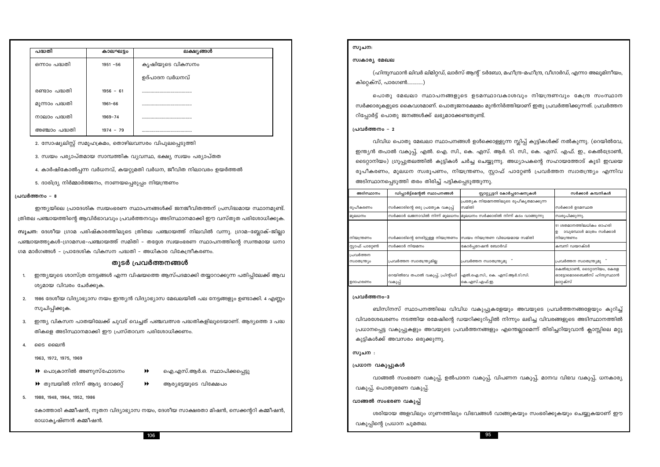| പദ്ധതി         | കാലഘട്ടം    | ലക്ഷ്യങ്ങൾ      |  |
|----------------|-------------|-----------------|--|
| ഒന്നാം പദ്ധതി  | $1951 - 56$ | കൃഷിയുടെ വികസനം |  |
|                |             | ഉദ്പാദന വർധനവ്  |  |
| രണ്ടാം പദ്ധതി  | $1956 - 61$ |                 |  |
| മൂന്നാം പദ്ധതി | $1961 - 66$ |                 |  |
| നാലാം പദ്ധതി   | $1969 - 74$ |                 |  |
| അഞ്ചാം പദ്ധതി  | $1974 - 79$ |                 |  |

2. സോഷ്യലിസ്റ്റ് സമൂഹക്രമം, തൊഴിലവസരം വിപുലപ്പെടുത്തി

- 3. സ്വയം പര്യാപ്തമായ സാമ്പത്തിക വ്യവസ്ഥ, ഭക്ഷ്യ സ്വയം പര്യാപ്തത
- 4. കാർഷികോൽപ്പന്ന വർധനവ്, കയറ്റുമതി വർധന, ജീവിത നിലാവരം ഉയർത്തൽ
- 5. ദാരിദ്ര്യ നിർമ്മാർജ്ജനം, നാണയപ്പെരുപ്പം നിയന്ത്രണം

#### പ്രവർത്തനം - 8

ഇന്ത്യയിലെ പ്രാദേശിക സ്വയംഭരണ സ്ഥാപനങ്ങൾക്ക് ജനജീവിതത്തന് പ്രസിദ്ധമായ സ്ഥാനമുണ്ട്. ത്രിതല പഞ്ചായത്തിന്റെ ആവിർഭാവവും പ്രവർത്തനവും അടിസ്ഥാനമാക്കി ഈ വസ്തുത പരിശോധിക്കുക. സൂചന: ദേശീയ ഗ്രാമ പരിഷ്കാരത്തിലൂടെ ത്രിതല പഞ്ചായത്ത് നിലവിൽ വന്നു. ഗ്രാമ–ബ്ലോക്–ജില്ലാ പഞ്ചായത്തുകൾ–ഗ്രാമസഭ–പഞ്ചായത്ത് സമിതി – തദ്ദേശ സ്വയംഭരണ സ്ഥാപനത്തിന്റെ സ്വന്തമായ ധനാ ഗമ മാർഗങ്ങൾ - പ്രാദേശിക വികസന പദ്ധതി - അധികാര വികേന്ദ്രീകരണം.

### തുടർ പ്രവർത്തനങ്ങൾ

- ഇന്ത്യയുടെ ശാസ്ത്ര നേട്ടങ്ങൾ എന്ന വിഷയത്തെ ആസ്പദമാക്കി തയ്യാറാക്കുന്ന പതിപ്പിലേക്ക് ആവ  $\mathbf{1}$ ശ്യമായ വിവരം ചേർക്കുക.
- 1986 ദേശീയ വിദ്യാഭ്യാസ നയം ഇന്ത്യൻ വിദ്യാഭ്യാസ മേഖലയിൽ പല നേട്ടങ്ങളും ഉണ്ടാക്കി. 4 എണ്ണം  $2.$ സൂചിപ്പിക്കുക.
- ഇന്ത്യ വികസന പാതയിലേക്ക് ചുവട് വെച്ചത് പഞ്ചവത്സര പദ്ധതികളിലൂടെയാണ്. ആദ്യത്തെ 3 പദ്ധ  $3.$ തികളെ അടിസ്ഥാനമാക്കി ഈ പ്രസ്താവന പരിശോധിക്കണം.
- ടൈ ലൈൻ  $\overline{4}$

5.

1963, 1972, 1975, 1969

1988, 1948, 1964, 1952, 1986

- $\blacktriangleright$  പൊക്രാനിൽ അണുസ്ഫോടനം
- $\blacktriangleright$  തുമ്പയിൽ നിന്ന് ആദ്യ റോക്കറ്റ്
- ഐ.എസ്.ആർ.ഒ. സ്ഥാപിക്കപ്പെട്ടു  $\blacktriangleright$
- 
- $\blacktriangleright$ ആര്യഭട്ടയുടെ വിക്ഷേപം

കോത്താരി കമ്മീഷൻ, നൂതന വിദ്യാഭ്യാസ നയം, ദേശീയ സാക്ഷരതാ മിഷൻ, സെക്കന്ററി കമ്മീഷൻ, രാധാകൃഷ്ണൻ കമ്മീഷൻ.

സൂചന:

#### സ്വകാര്യ മേഖല

(ഹിന്ദുസ്ഥാൻ ലിവർ ലിമിറ്റഡ്, ലാർസ് ആന്റ് ടർബോ, മഹീന്ദ്ര-മഹീന്ദ്ര, വീഗാർഡ്, എന്നാ അലൂമിനീയം, കിറെക്സ്. പാരഗൺ............)

പൊതു മേഖലാ സ്ഥാപനങ്ങളുടെ ഉടമസ്ഥാവകാശവും നിയന്ദ്രണവും കേന്ദ്ര സംസ്ഥാന സർക്കാരുകളുടെ കൈവശമാണ്. പൊതുജനക്ഷേമം മുൻനിർത്തിയാണ് ഇതു പ്രവർത്തിക്കുന്നത്. പ്രവർത്തന റിപ്പോർട്ട് പൊതു ജനങ്ങൾക്ക് ലഭ്യമാക്കേണ്ടതുണ്ട്.

#### പ്രവർത്തനം - 2

വിവിധ പൊതു മേഖലാ സ്ഥാപനങ്ങൾ ഉൾക്കൊള്ളുന്ന സ്ലിപ്പ് കുട്ടികൾക്ക് നൽകുന്നു. (റെയിൽവേ, ഇന്ത്യൻ തപാൽ വകുപ്പ്, എൽ. ഐ. സി., കെ. എസ്. ആർ. ടി. സി., കെ. എസ്. എഫ്. ഇ., കെൽട്രോൺ, ടൈറ്റാനിയം) ഗ്രൂപ്പുതലത്തിൽ കുട്ടികൾ ചർച്ച ചെയ്യുന്നു. അധ്യാപകന്റെ സഹായത്തോട് കൂടി ഇവയെ രൂപീകരണം, മൂലധന സ്വരൂപണം, നിയന്ത്രണം, സ്റ്റാഫ് പാറ്റേൺ പ്രവർത്തന സ്വാതന്ത്ര്യം എന്നിവ അടിസ്ഥാനപ്പെടുത്തി തരം തിരിച്ച് പട്ടികപ്പെടുത്തുന്നു.

| അടിസ്ഥാനം                  | ഡിപ്പാർട്ട്മെന്റൽ സ്ഥാപനങ്ങൾ                 | സ്റ്റാറ്റ്യൂട്ടറി കോർപ്പറേഷനുകൾ                                      | സർക്കാർ കമ്പനികൾ                                                     |
|----------------------------|----------------------------------------------|----------------------------------------------------------------------|----------------------------------------------------------------------|
|                            |                                              | പ്രത്യേക നിയമനത്തിലൂടെ രൂപീകൃതമാക്കുന്ന                              |                                                                      |
| രൂപീകരണം                   | സർക്കാരിന്റെ ഒരു പ്രത്യേക വകുപ്പ്            | സമിതി                                                                | സർക്കാർ ഉടമസ്ഥത                                                      |
| മൂലധനം                     |                                              | സർക്കാർ ഖജനാവിൽ നിന്ന് മൂലധനം മൂലധനം സർക്കാരിൽ നിന്ന് കടം വാങ്ങുന്നു | സ്വരൂപിക്കുന്നു.                                                     |
| നിയന്ത്രണം                 |                                              | സർക്കാരിന്റെ നേരിട്ടുള്ള നിയന്ത്രണം  സ്വയം നിയന്ത്രണ വിധേയമായ സമിതി  | 51 ശതമാനത്തിലധികം ഓഹരി<br>ാവുമ്പോൾ മാത്രം സർക്കാർ<br>ഉ<br>നിയന്ത്രണം |
|                            |                                              |                                                                      |                                                                      |
| സ്റ്റാഫ് പാറ്റേൺ           | സർക്കാർ നിയമനം                               | കോർപ്പറേഷൻ ബോർഡ്                                                     | കമ്പനി ഡയറക്ടർ                                                       |
| പ്രവർത്തന<br>സ്വാതന്ത്ര്യം | പ്രവർത്തന സ്വാതന്ത്ര്യമില്ല                  | പ്രവർത്തന സ്വാതന്ത്ര്യമു                                             | പ്രവർത്തന സ്വാതന്ത്ര്യമു                                             |
| ഉദാഹരണം                    | റെയിൽവേ തപാൽ വകുപ്പ്, പ്രിന്റിംഗ്<br>വകുപ്പ് | എൽ.ഐ.സി., കെ. എസ്.ആർ.ടി.സി.<br>കെ.എസ്.എഫ്.ഇ.                         | കെൽട്രോൺ, ടൈറ്റാനിയം, കേരള<br>ഓട്ടോമൊബൈൽസ് ഹിന്ദുസ്ഥാൻ<br>ലാറ്റക്സ്  |

#### പ്രവർത്തനം-3

ബിസിനസ് സ്ഥാപനത്തിലെ വിവിധ വകുപ്പുകളേയും അവയുടെ പ്രവർത്തനങ്ങളേയും കുറിച്ച് വിവരശേഖരണം നടത്തിയ രമേഷിന്റെ ഡയറിക്കുറിപ്പിൽ നിന്നും ലഭിച്ച വിവരങ്ങളുടെ അടിസ്ഥാനത്തിൽ പ്രധാനപ്പെട്ട വകുപ്പുകളും അവയുടെ പ്രവർത്തനങ്ങളും എന്തെല്ലാമെന്ന് തിരിച്ചറിയുവാൻ ക്ലാസ്സിലെ മറ്റു കുട്ടികൾക്ക് അവസരം ഒരുക്കുന്നു.

#### സൂചന :

#### പ്രധാന വകുപ്പുകൾ

വാങ്ങൽ സംഭരണ വകുപ്പ്, ഉൽപാദന വകുപ്പ്, വിപണന വകുപ്പ്, മാനവ വിഭവ വകുപ്പ്, ധനകാര്യ വകുപ്പ്, പൊതുഭരണ വകുപ്പ്.

#### വാങ്ങൽ സംഭരണ വകുപ്പ്

ശരിയായ അളവിലും ഗുണത്തിലും വിഭവങ്ങൾ വാങ്ങുകയും സംഭരിക്കുകയും ചെയ്യുകയാണ് ഈ വകുപ്പിന്റെ പ്രധാന ചുമതല.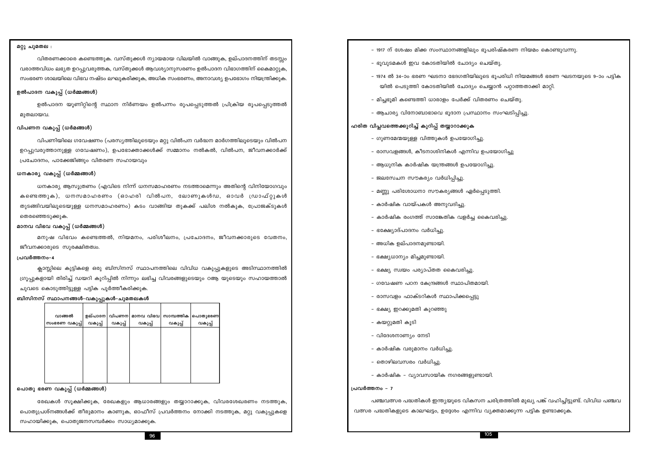#### മറ്റു ചുമതല :

വിതരണക്കാരെ കണ്ടെത്തുക. വസ്തുക്കൾ ന്യായമായ വിലയിൽ വാങ്ങുക, ഉല്പാദനത്തിന് തടസ്സം വരാത്തവിധം ലഭ്യത ഉറപ്പുവരുത്തക, വസ്തുക്കൾ ആവശ്യാനുസരണം ഉൽപാദന വിഭാഗത്തിന് കൈമാറ്റുക, സംഭരണ ശാലയിലെ വിഭവ നഷ്ടം ലഘുകരിക്കുക, അധിക സംഭരണം, അനാവശ്യ ഉപഭോഗം നിയന്ത്രിക്കുക.

#### ഉൽപാദന വകുപ്പ് (ധർമ്മങ്ങൾ)

ഉൽപാദന യൂണിറ്റിന്റെ സ്ഥാന നിർണയം ഉൽപന്നം രൂപപ്പെടുത്തൽ പ്രിക്രിയ രൂപപ്പെടുത്തൽ മുതലായവ.

#### വിപണന വകുപ്പ് (ധർമങ്ങൾ)

വിപണിയിലെ ഗവേഷണം (പരസ്യത്തിലൂടെയും മറ്റു വിൽപന വർദ്ധന മാർഗത്തിലൂടെയും വിൽപന ഉറപ്പുവരുത്താനുള്ള ഗവേഷണം), ഉപഭോക്താക്കൾക്ക് സമ്മാനം നൽകൽ, വിൽപന, ജീവനക്കാർക്ക് പ്രചോദനം, പാക്കേജിങ്ങും വിതരണ സഹായവും

#### ധനകാര്യ വകുപ്പ് (ധർമ്മങ്ങൾ)

ധനകാര്യ ആസുത്രണം (എവിടെ നിന്ന് ധനസമാഹരണം നടത്താമെന്നും അതിന്റെ വിനിയോഗവും കണ്ടെത്തുക), ധനസമാഹരണം (ഓഹരി വിൽപന, ലോണുകൾഡ, ഓവർ ഡ്രാഫ്റ്റുകൾ തുടങ്ങിവയിലൂടെയുള്ള ധനസമാഹരണം) കടം വാങ്ങിയ തുകക്ക് പലിശ നൽകുക, പ്രോജക്ടുകൾ തെരഞ്ഞെടുക്കുക.

#### മാനവ വിഭവ വകുപ്പ് (ധർമ്മങ്ങൾ)

മനുഷ വിഭവം കണ്ടെത്തൽ, നിയമനം, പരിശീലനം, പ്രചോദനം, ജീവനക്കാരുടെ വേതനം, ജീവനക്കാരുടെ സുരക്ഷിതത്വം.

#### പ്രവർത്തനം-4

ക്ലാസ്സിലെ കുട്ടികളെ ഒരു ബിസിനസ് സ്ഥാപനത്തിലെ വിവിധ വകുപ്പുകളുടെ അടിസ്ഥാനത്തിൽ ഗ്രൂപ്പുകളായി തിരിച്ച് ഡയറി കുറിപ്പിൽ നിന്നും ലഭിച്ച വിവരങ്ങളുടെയും ഠആ യുടെയും സഹായത്താൽ ചുവടെ കൊടുത്തിട്ടുള്ള പട്ടിക പൂർത്തീകരിക്കുക.

ബിസിനസ് സ്ഥാപനങ്ങൾ–വകുപ്പുകൾ–ചുമതലകൾ

| വാങ്ങൽ        | ഉല്പാദന | വിപണന   | മാനവ വിഭവ | സാമ്പത്തിക | പൊതുഭരണ |
|---------------|---------|---------|-----------|------------|---------|
| സംഭരണ വകുപ്പ് | വകുപ്പ് | വകുപ്പ് | വകുപ്പ്   | വകുപ്പ്    | വകുപ്പ് |
|               |         |         |           |            |         |
|               |         |         |           |            |         |
|               |         |         |           |            |         |
|               |         |         |           |            |         |
|               |         |         |           |            |         |
|               |         |         |           |            |         |
|               |         |         |           |            |         |
|               |         |         |           |            |         |

#### പൊതു ഭരണ വകുപ്പ് (ധർമ്മങ്ങൾ)

രേഖകൾ സൂക്ഷിക്കുക, രേഖകളും ആധാരങ്ങളും തയ്യാറാക്കുക, വിവരശേഖരണം നടത്തുക, പൊതുപ്രശ്നങ്ങൾക്ക് തീരുമാനം കാണുക, ഓഫീസ് പ്രവർത്തനം നോക്കി നടത്തുക, മറ്റു വകുപ്പുകളെ സഹായിക്കുക, പൊതുജനസമ്പർക്കം സാധ്യമാക്കുക.

- 1917 ന് ശേഷം മിക്ക സംസ്ഥാനങ്ങളിലും ഭൂപരിഷ്കരണ നിയമം കൊണ്ടുവന്നു.
- ഭൂവുടമകൾ ഇവ കോടതിയിൽ ചോദ്യം ചെയ്തു.
- യിൽ പെടുത്തി കോടതിയിൽ ചോദ്യം ചെയ്യാൻ പറ്റാത്തതാക്കി മാറ്റി.
- മിച്ചഭൂമി കണ്ടെത്തി ധാരാളം പേർക്ക് വിതരണം ചെയ്തു.
- ആചാര്യ വിനോബാഭാവെ ഭൂദാന പ്രസ്ഥാനം സംഘടിപ്പിച്ചു.

#### ഹരിത വിപ്ലവത്തെക്കുറിച്ച് കുറിപ്പ് തയ്യാറാക്കുക

- ഗുണമേന്മയുള്ള വിത്തുകൾ ഉപയോഗിച്ചു.
- രാസവളങ്ങൾ, കീടനാശിനികൾ എന്നിവ ഉപയോഗിച്ചു
- ആധുനിക കാർഷിക യന്ത്രങ്ങൾ ഉപയോഗിച്ചു.
- ജലസേചന സൗകര്യം വർധിപ്പിച്ചു.
- മണ്ണു പരിശോധനാ സൗകര്യങ്ങൾ ഏർപ്പെടുത്തി.
- കാർഷിക വായ്പകൾ അനുവദിച്ചു.
- കാർഷിക രംഗത്ത് സാങ്കേതിക വളർച്ച കൈവരിച്ചു.
- ഭക്ഷ്യോദ്പാദനം വർധിച്ചു.
- അധിക ഉല്പാദനമുണ്ടായി.
- ഭക്ഷ്യധാന്യം മിച്ചമുണ്ടായി.
- ഭക്ഷ്യ സ്വയം പര്യാപ്തത കൈവരിച്ചു.
- ഗവേഷണ പഠന കേന്ദ്രങ്ങൾ സ്ഥാപിതമായി.
- രാസവളം ഫാക്ടറികൾ സ്ഥാപിക്കപ്പെട്ടു
- ഭക്ഷ്യ ഇറക്കുമതി കുറഞ്ഞു
- കയറ്റുമതി കൂടി
- വിദേശനാണ്യം നേടി
- കാർഷിക വരുമാനം വർധിച്ചു.
- 
- 
- തൊഴിലവസരം വർധിച്ചു.
- കാർഷിക വ്യാവസായിക നഗരങ്ങളുണ്ടായി.

#### പ്രവർത്തനം - 7

പഞ്ചവത്സര പദ്ധതികൾ ഇന്ത്യയുടെ വികസന ചരിത്രത്തിൽ മുഖ്യ പങ്ക് വഹിച്ചിട്ടുണ്ട്. വിവിധ പഞ്ചവ വത്സര പദ്ധതികളുടെ കാലഘട്ടം, ഉദ്ദേശം എന്നിവ വ്യക്തമാക്കുന്ന പട്ടിക ഉണ്ടാക്കുക.

```
– 1974 ൽ 34–ാം ഭരണ ഘടനാ ഭേദഗതിയിലൂടെ ഭൂപരിധി നിയമങ്ങൾ ഭരണ ഘടനയുടെ 9–ാം പട്ടിക
```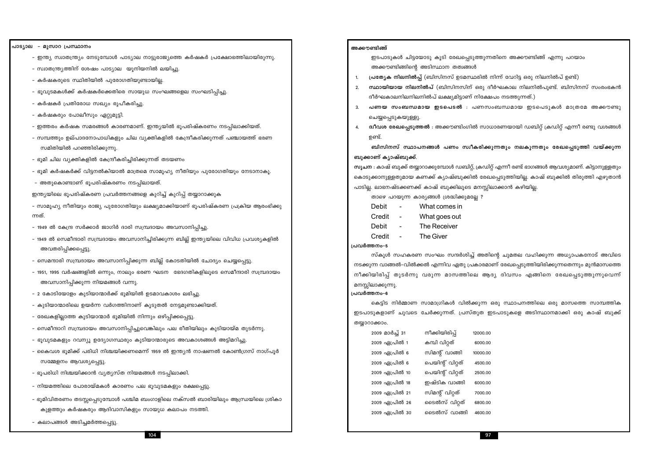97

#### പാട്യാല – മൂസാറ പ്രസ്ഥാനം

- ഇന്ത്യ സ്വാതന്ത്ര്യം നേടുമ്പോൾ പാട്യാല നാട്ടുരാജ്യത്തെ കർഷകർ പ്രക്ഷോഭത്തിലായിരുന്നു.
- സ്വാതന്ത്ര്യത്തിന് ശേഷം പാട്യാല യൂനിയനിൽ ലയിച്ചു.
- കർഷകരുടെ സ്ഥിതിയിൽ പുരോഗതിയുണ്ടായില്ല.
- ഭൂവുടമകൾക്ക് കർഷകർക്കെതിരെ സായുധ സംഘങ്ങളെല സംഘടിപ്പിച്ചു.
- കർഷകർ പ്രതിരോധ സഖ്യം രുപീകരിച്ചു.
- കർഷകരും പോലീസും ഏറ്റുമുട്ടി.
- ഇത്തരം കർഷക സമരങ്ങൾ കാരണമാണ്. ഇന്ത്യയിൽ ഭൂപരിഷ്കരണം നടപ്പിലാക്കിയത്.
- സമ്പത്തും ഉല്പാദനോപാധികളും ചില വ്യക്തികളിൽ കേന്ദ്രീകരിക്കുന്നത് പഞ്ചായത്ത് ഭരണ സമിതിയിൽ പറഞ്ഞിരിക്കുന്നു.
- ഭൂമി ചില വ്യക്തികളിൽ കേന്ദ്രീകരിച്ചിരിക്കുന്നത് തടയണം
- ഭൂമി കർഷകർക്ക് വിട്ടനൽകിയാൽ മാത്രമെ സാമൂഹ്യ നീതിയും പുരോഗതിയും നേടാനാകൂ.
- അതുകൊണ്ടാണ് ഭൂപരിഷ്കരണം നടപ്പിലായത്.

ഇന്ത്യയിലെ ഭൂപരിഷ്കരണ പ്രവർത്തനങ്ങളെ കുറിച്ച് കുറിപ്പ് തയ്യാറാക്കുക

- സാമൂഹ്യ നീതിയും രാജ്യ പുരോഗതിയും ലക്ഷ്യമാക്കിയാണ് ഭൂപരിഷ്കരണ പ്രക്രിയ ആരംഭിക്കു ന്നത്.
- 1949 ൽ കേന്ദ്ര സർക്കാർ ജാഗിർ ദാരി സമ്പ്രദായം അവസാനിപ്പിച്ചു.
- 1949 ൽ സെമീന്ദാരി സമ്പ്രദായം അവസാനിച്ചിരിക്കുന്ന ബില്ല് ഇന്ത്യയിലെ വിവിധ പ്രവശ്യകളിൽ അവതരിപ്പിക്കപ്പെട്ടു.
- സെമന്ദാരി സമ്പ്രദായം അവസാനിപ്പിക്കുന്ന ബില്ല് കോടതിയിൽ ചോദ്യം ചെയ്യപ്പെട്ടു.
- 1951, 1995 വർഷങ്ങളിൽ ഒന്നും, നാലും ഭരണ ഘടന ഭേദഗതികളിലൂടെ സെമീന്ദാരി സമ്പ്രദായം അവസാനിപ്പിക്കുന്ന നിയമങ്ങൾ വന്നു.
- 2 കോടിയോളം കുടിയാന്മാർക്ക് ഭൂമിയിൽ ഉടമാവകാശം ലഭിച്ചു.
- കുടിയാന്മാരിലെ ഉയർന്ന വർഗത്തിനാണ് കൂടുതൽ നേട്ടമുണ്ടാക്കിയത്.
- രേഖകളില്ലാത്ത കുടിയാന്മാർ ഭൂമിയിൽ നിന്നും ഒഴിപ്പിക്കപ്പെട്ടു.
- സെമീന്ദാറി സമ്പ്രദായം അവസാനിപ്പിച്ചുവെങ്കിലും പല രീതിയിലും കുടിയായ്മ തുടർന്നു.
- ഭൂവുടമകളും റവന്യൂ ഉദ്യോഗസ്ഥരും കുടിയാന്മാരുടെ അവകാശങ്ങൾ അട്ടിമറിച്ചു.
- കൈവശ ഭുമിക്ക് പരിധി നിശ്ചയിക്കണമെന്ന് 1959 ൽ ഇന്ത്യൻ നാഷണൽ കോൺഗ്രസ് നാഗ്പൂർ സമ്മേളനം ആവശ്യപ്പെട്ടു.
- ഭൂപരിധി നിശ്ചയിക്കാൻ വ്യത്യസ്ത നിയമങ്ങൾ നടപ്പിലാക്കി.
- നിയമത്തിലെ പോരായ്മകൾ കാരണം പല ഭൂവുടമകളും രക്ഷപ്പെട്ടു.
- ഭുമിവിതരണം തടസ്സപ്പെടുമ്പോൾ പശ്ചിമ ബംഗാളിലെ നക്സൽ ബാരിയിലും ആന്ധ്രയിലെ ശ്രികാ കുളത്തും കർഷകരും ആദിവാസികളും സായുധ കലാപം നടത്തി.
- കലാപങ്ങൾ അടിച്ചമർത്തപ്പെട്ടു

#### അക്കൗണ്ടിങ്ങ്

- ഇടപാടുകൾ ചിട്ടയോടു കൂടി രേഖപ്പെടുത്തുന്നതിനെ അക്കൗണ്ടിങ്ങ് എന്നു പറയാം അക്കൗണ്ടിങ്ങിന്റെ അടിസ്ഥാന തത്വങ്ങൾ
- പ്രത്യേക നിലനിൽപ്പ് (ബിസിനസ് ഉടമസ്ഥരിൽ നിന്ന് വേറിട്ട ഒരു നിലനിൽപ് ഉണ്ട്)  $\mathbf{1}$
- $2.$ **സ്ഥായിയായ നിലനിൽപ്** (ബിസിനസിന് ഒരു ദീർഘകാല നിലനിൽപുണ്ട്. ബിസിനസ് സംരംഭകൻ ദീർഘകാലനിലനിലനിൽപ് ലക്ഷ്യമിട്ടാണ് നിക്ഷേപം നടത്തുന്നത്.)
- പണയ സംബന്ധമായ ഇടപെടൽ : പണസംബന്ധമായ ഇടപെടുകൾ മാത്രമേ അക്കൗണ്ടു  $3.$ ചെയ്യപ്പെടുകയുള്ളു.
- <mark>ദ്വീവശ രേഖപ്പെടുത്തൽ</mark> : അക്കൗണ്ടിംഗിൽ സാധാരണയായി ഡബിറ്റ് ക്രഡിറ്റ് എന്നീ രണ്ടു വശങ്ങൾ 4. ഉണ്ട്.

ബിസിനസ് സ്ഥാപനങ്ങൾ പണം സ്വീകരിക്കുന്നതും നലകുന്നതും രേഖപ്പെടുത്തി വയ്ക്കുന്ന ബുക്കാണ് കൃാഷ്ബുക്ക്.

സുചന : കാഷ് ബുക്ക് തയ്യാറാക്കുമ്പോൾ ഡബിറ്റ്, ക്രഡിറ്റ് എന്നീ രണ്ട് ഭാഗങ്ങൾ ആവശ്യമാണ്. കിട്ടാനുള്ളതും കൊടുക്കാനുള്ളതുമായ കണക്ക് ക്യാഷ്ബുക്കിൽ രേഖപ്പെടുത്തിയില്ല. കാഷ് ബുക്കിൽ തിരുത്തി എഴുതാൻ പാടില്ല. ലാഭനഷ്ടക്കണക്ക് കാഷ് ബുക്കിലൂടെ മനസ്സിലാക്കാൻ കഴിയില്ല.

- താഴെ പറയുന്ന കാര്യങ്ങൾ ശ്രദ്ധിക്കുമല്ലേ ?
- Debit What comes in  $\sim$
- Credit What goes out  $\overline{a}$ 
	- $\overline{a}$ The Receiver
- The Giver Credit  $\overline{a}$

#### പ്രവർത്തനം-5

**Debit** 

സ്കൂൾ സഹകരണ സംഘം സന്ദർശിച്ച് അതിന്റെ ചുമതല വഹിക്കുന്ന അധ്യാപകനോട് അവിടെ നടക്കുന്ന വാങ്ങൽ–വിൽക്കൽ എന്നിവ ഏതു പ്രകാരമാണ് രേഖപ്പെടുത്തിയിരിക്കുന്നതെന്നും മുൻമാസത്തെ നീക്കിയിരിപ്പ് തുടർന്നു വരുന്ന മാസത്തിലെ ആദ്യ ദിവസം എങ്ങിനെ രേഖപ്പെടുത്തുന്നുവെന്ന് മനസ്സിലാക്കുന്നു.

#### പ്രവർത്തനം-6

കെട്ടിട നിർമ്മാണ സാമാഗ്രികൾ വിൽക്കുന്ന ഒരു സ്ഥാപനത്തിലെ ഒരു മാസത്തെ സാമ്പത്തിക ഇടപാടുകളാണ് ചുവടെ ചേർക്കുന്നത്. പ്രസ്തുത ഇടപാടുകളെ അടിസ്ഥാനമാക്കി ഒരു കാഷ് ബുക്ക് തയ്യാറാക്കാം.

| 2009 മാർച്ച് 31 | നീക്കിയിരിപ്പ്   | 12000.00 |
|-----------------|------------------|----------|
| 2009 ഏപ്രിൽ 1   | കമ്പി വിറ്റത്    | 6000.00  |
| 2009 ഏപ്രിൽ 6   | സിമന്റ് വാങ്ങി   | 10000.00 |
| 2009 ഏപ്രിൽ 6   | പെയിന്റ് വിറ്റത് | 4500.00  |
| 2009 ഏപ്രിൽ 10  | പെയിന്റ് വിറ്റത് | 2500.00  |
| 2009 ഏപ്രിൽ 18  | ഇഷ്ടിക വാങ്ങി    | 6000.00  |
| 2009 ഏപ്രിൽ 21  | സിമന്റ് വിറ്റത്  | 7000.00  |
| 2009 ഏപ്രിൽ 26  | ടൈൽസ് വിറ്റത്    | 6800.00  |
| 2009 ഏപ്രിൽ 30  | ടൈൽസ് വാങ്ങി     | 4600.00  |
|                 |                  |          |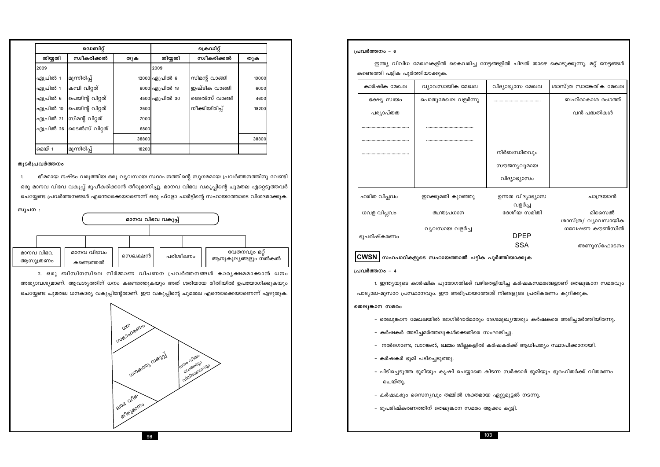![](_page_17_Figure_1.jpeg)

#### തുടർപ്രവർത്തനം

ഭീമമായ നഷ്ടം വരുത്തിയ ഒരു വ്യവസായ സ്ഥാപനത്തിന്റെ സുഗമമായ പ്രവർത്തനത്തിനു വേണ്ടി 1. ഒരു മാനവ വിഭവ വകുപ്പ് രൂപീകരിക്കാൻ തീരുമാനിച്ചു. മാനവ വിഭവ വകുപ്പിന്റെ ചുമതല ഏറ്റെടുത്തവർ ചെയ്യേണ്ട പ്രവർത്തനങ്ങൾ എന്തൊക്കെയാണെന്ന് ഒരു ഫ്ളോ ചാർട്ടിന്റെ സഹായത്തോടെ വിശദമാക്കുക.

സുചന :

|                       |                         | മാനവ വിഭവ വകുപ്പ് |          |                     |               |
|-----------------------|-------------------------|-------------------|----------|---------------------|---------------|
|                       |                         |                   |          |                     |               |
| മാനവ വിഭവ<br>ആസൂത്രണം | മാനവ വിഭവം<br>കണ്ടെത്തൽ | സെലക്ഷൻ           | പരിശീലനം | ആനുകൂല്യങ്ങളും നൽകൽ | വേതനവും മറ്റ് |

2. ഒരു ബിസിനസിലെ നിർമ്മാണ വിപണന പ്രവർത്തനങ്ങൾ കാരൃക്ഷമമാക്കാൻ ധനം അത്യാവശ്യമാണ്. ആവശ്യത്തിന് ധനം കണ്ടെത്തുകയും അത് ശരിയായ രീതിയിൽ ഉപയോഗിക്കുകയും ചെയ്യേണ്ട ചുമതല ധനകാര്യ വകുപ്പിന്റേതാണ്. ഈ വകുപ്പിന്റെ ചുമതല എന്തൊക്കെയാണെന്ന് എഴുതുക.

![](_page_17_Figure_7.jpeg)

പ്രവർത്തനം - 6

ഇന്ത്യ വിവിധ മേഖലകളിൽ കൈവരിച്ച നേട്ടങ്ങളിൽ ചിലത് താഴെ കൊടുക്കുന്നു. മറ്റ് നേട്ടങ്ങൾ കണ്ടെത്തി പട്ടിക പൂർത്തിയാക്കുക. ശാസ്ത്ര സാങ്കേതിക മേഖല ചിദ്യാഭ്യാസ മേഖല ബഹിരാകാശ രംഗത്ത് വൻ പദ്ധതികൾ നിർബന്ധിതവും സൗജന്യവുമായ വിദ്യാഭ്യാസം ഉന്നത വിദ്യാഭ്യാസ ചാന്ദ്രയാൻ വളർച്ച ദേശീയ സമിതി മിസൈൽ ശാസ്ത്ര/ വ്യാവസായിക ഗവേഷണ കൗൺസിൽ **DPEP SSA** അണുസ്ഫോടനം ർത്തിയാക്കു<mark>ക</mark> .<br>ദിയിച്ച കർഷകസമരങ്ങളാണ് തെലുങ്കാന സമരവു<mark>ം</mark> നിങ്ങളുടെ പ്രതികരണം കുറിക്കുക. oമുഖ്യന്മാരും കർഷകരെ അടിച്ചമർത്തിയിരന്ന<mark>ു</mark>. ലടിച്ചു. .<br>ഷകർക്ക് ആധിപത്യം സ്ഥാപിക്കാനായി. m സർക്കാർ ഭൂമിയും ഭൂരഹിതർക്ക് വിതരണ<mark>ം</mark> മ്യറ്റുമുട്ടൽ നടന്നു. െ കൂട്ടി.

| കാർഷിക മേഖല                 | വ്യാവസായിക മേഖല                                       | ൨ |
|-----------------------------|-------------------------------------------------------|---|
| ഭക്ഷ്യ സ്വയം                | പൊതുമേഖല വളർന്നു                                      |   |
| പര്യാപ്തത                   |                                                       |   |
|                             |                                                       |   |
|                             |                                                       |   |
|                             |                                                       |   |
|                             |                                                       |   |
|                             |                                                       |   |
| ഹരിത വിപ്ലവം                | ഇറക്കുമതി കുറഞ്ഞു                                     |   |
| ധവള വിപ്ലവം                 | തന്ത്രപ്രധാന                                          |   |
| ഭൂപരിഷ്കരണം                 | വ്യവസായ വളർച്ച                                        |   |
|                             | $ \mathsf{CWSN} $ സഹപാഠികളുടെ സഹായത്താൽ പട്ടിക പൂ $i$ |   |
| പ്രവർത്തനം - 4              |                                                       |   |
|                             | 1. ഇന്ത്യയുടെ കാർഷിക പുരോഗതിക്ക് വഴിതെള്              |   |
|                             | പാട്യാല-മുസാറ പ്രസ്ഥാനവും. ഈ അഭിപ്രായത്തോട്           |   |
| തെലുങ്കാന സമരം              |                                                       |   |
|                             | – തെലുങ്കാന മേഖലയിൽ ജാഗിർദാർമാരും ദേശ                 |   |
|                             | – കർഷകർ അടിച്ചമർത്തലുകൾക്കെതിരെ സ <mark>ം</mark> ഘ    |   |
|                             | നൽഗൊണ്ട, വാറങ്കൽ, ഖമ്മം ജില്ലകളിൽ കർ $\epsilon$       |   |
| - കർഷകർ ഭൂമി പടിച്ചെടുത്തു. |                                                       |   |
| ചെയ്തു.                     | – പിടിച്ചെടുത്ത ഭൂമിയും കൃഷി ചെയ്യാതെ കിടറ            |   |
|                             | – കർഷകരും സൈന്യവും തമ്മിൽ ശക്തമായ പു                  |   |
|                             | – ഭൂപരിഷ്കരണത്തിന് തെലുങ്കാന സമരം ആക്ക                |   |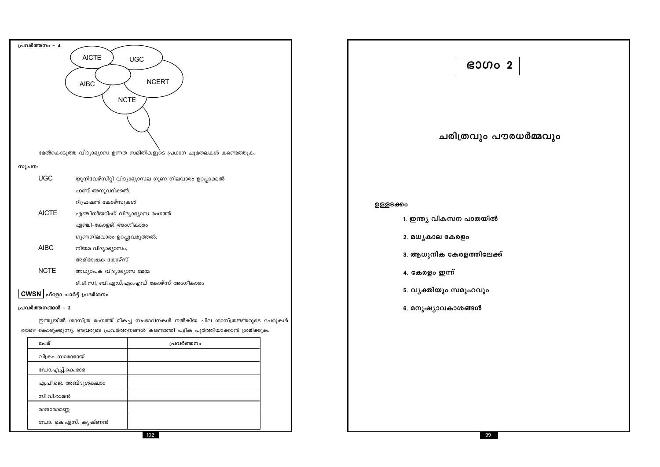| പ്രവർത്തനം - 4                                            |                                                                                     |  |  |  |
|-----------------------------------------------------------|-------------------------------------------------------------------------------------|--|--|--|
| <b>AICTE</b><br><b>UGC</b>                                |                                                                                     |  |  |  |
|                                                           |                                                                                     |  |  |  |
| <b>AIBC</b>                                               | <b>NCERT</b>                                                                        |  |  |  |
| <b>NCTE</b>                                               |                                                                                     |  |  |  |
|                                                           |                                                                                     |  |  |  |
|                                                           |                                                                                     |  |  |  |
|                                                           |                                                                                     |  |  |  |
|                                                           | മേൽകൊടുത്ത വിദ്യാഭ്യാസ ഉന്നത സമിതികളുടെ പ്രധാന ചുമതലകൾ കണ്ടെത്തുക.                  |  |  |  |
|                                                           |                                                                                     |  |  |  |
| സൂചന:                                                     |                                                                                     |  |  |  |
| <b>UGC</b>                                                | യുനിവേഴ്സിറ്റി വിദ്യാഭ്യാസല ഗുണ നിലവാരം ഉറപ്പാക്കൽ                                  |  |  |  |
| ഫണ്ട് അനുവദിക്കൽ.                                         |                                                                                     |  |  |  |
| റിഫ്രഷൻ കോഴ്സുകൾ<br><b>AICTE</b>                          |                                                                                     |  |  |  |
| എഞ്ചിനീയറിംഗ് വിദ്യാഭ്യാസ രംഗത്ത്<br>എഞ്ചി–കോളജ് അംഗീകാരം |                                                                                     |  |  |  |
| ഗുണനിലവാരം ഉറപ്പുവരുത്തൽ.                                 |                                                                                     |  |  |  |
| <b>AIBC</b><br>നിയമ വിദ്യാഭ്യാസം,                         |                                                                                     |  |  |  |
| അഭിഭാഷക കോഴ്സ്                                            |                                                                                     |  |  |  |
| <b>NCTE</b><br>അധ്യാപക വിദ്യാഭ്യാസ മേന്മ                  |                                                                                     |  |  |  |
|                                                           | ടി.ടി.സി, ബി.എഡ്,എം.എഡ് കോഴ്സ് അംഗീകാരം                                             |  |  |  |
| $CWSN$   ഫ്ളോ ചാർട്ട് പ്രദർശനം                            |                                                                                     |  |  |  |
| പ്രവർത്തനങ്ങൾ - 3                                         |                                                                                     |  |  |  |
|                                                           | ഇന്ത്യയിൽ ശാസ്ത്ര രംഗത്ത് മികച്ച സംഭാവനകൾ നൽകിയ ചില ശാസ്ത്രജ്ഞരുടെ പേരുകൾ           |  |  |  |
|                                                           | താഴെ കൊടുക്കുന്നു. അവരുടെ പ്രവർത്തനങ്ങൾ കണ്ടെത്തി പട്ടിക പൂർത്തിയാക്കാൻ ശ്രമിക്കുക. |  |  |  |
| പേര്                                                      | പ്രവർത്തനം                                                                          |  |  |  |
| വിക്രം സാരാഭായ്                                           |                                                                                     |  |  |  |
| ഡോ.എച്ച്.കെ.ഭാഭ                                           |                                                                                     |  |  |  |
| എ.പി.ജെ. അബ്ദുൾകലാം                                       |                                                                                     |  |  |  |
| സി.വി.രാമൻ                                                |                                                                                     |  |  |  |
| രാജാരാമണ്ണ                                                |                                                                                     |  |  |  |

| ഭാഗം                     |
|--------------------------|
| ചരിത്രവും പറ             |
| ഉള്ളടക്കം                |
| 1. ഇന്ത്യ വികസന പാതയിൽ   |
| 2. മധൃകാല കേരളം          |
| 3. ആധുനിക കേരളത്തിലേക്ക് |
| 4. കേരളം ഇന്ന്           |
| 5. വൃക്തിയും സമൂഹവും     |
| 6. മനുഷ്യാവകാശങ്ങൾ       |
|                          |
|                          |
|                          |

ഡോ. കെ.എസ്. കൃഷ്ണൻ

# $\begin{array}{|c|c|}\n\hline\n2\n\end{array}$

ൗരധർമ്മവും